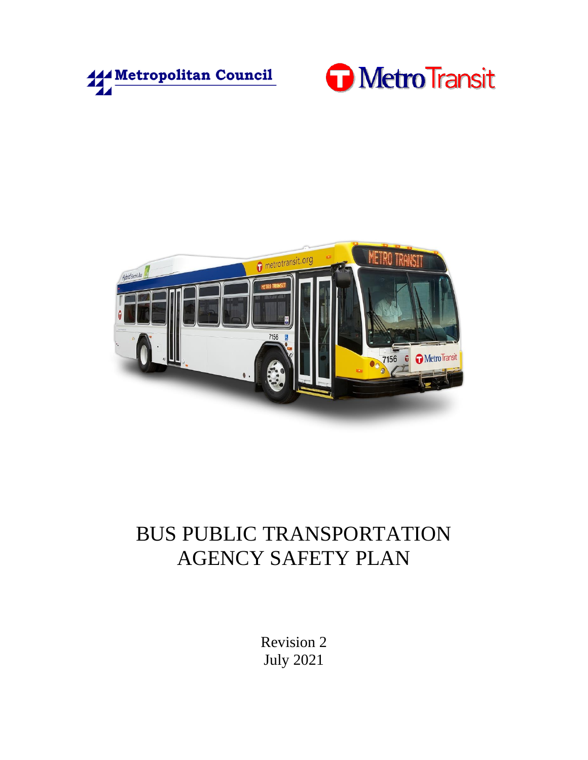





# BUS PUBLIC TRANSPORTATION AGENCY SAFETY PLAN

Revision 2 July 2021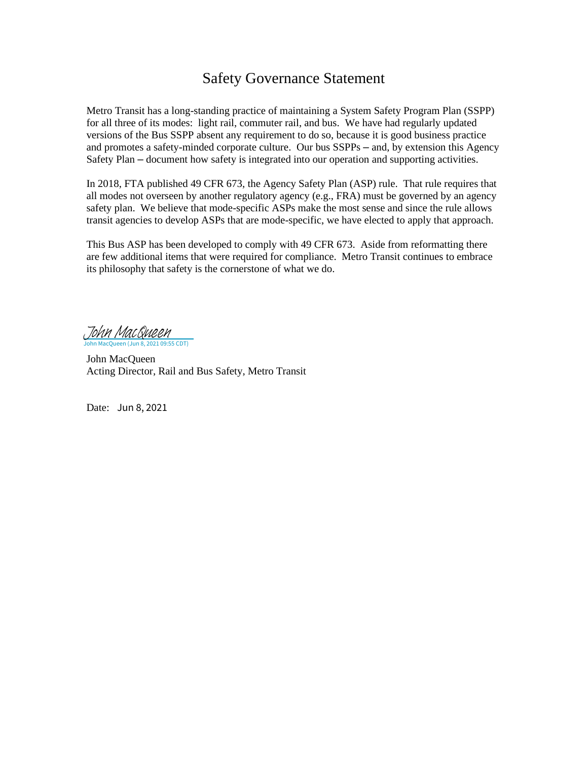## Safety Governance Statement

Metro Transit has a long-standing practice of maintaining a System Safety Program Plan (SSPP) for all three of its modes: light rail, commuter rail, and bus. We have had regularly updated versions of the Bus SSPP absent any requirement to do so, because it is good business practice and promotes a safety-minded corporate culture. Our bus SSPPs – and, by extension this Agency Safety Plan – document how safety is integrated into our operation and supporting activities.

In 2018, FTA published 49 CFR 673, the Agency Safety Plan (ASP) rule. That rule requires that all modes not overseen by another regulatory agency (e.g., FRA) must be governed by an agency safety plan. We believe that mode-specific ASPs make the most sense and since the rule allows transit agencies to develop ASPs that are mode-specific, we have elected to apply that approach.

This Bus ASP has been developed to comply with 49 CFR 673. Aside from reformatting there are few additional items that were required for compliance. Metro Transit continues to embrace its philosophy that safety is the cornerstone of what we do.

2 2021 09:55 CDT) [John MacQueen](https://metcouncil.na1.adobesign.com/verifier?tx=CBJCHBCAABAAbv095Oileiw7k3zxzIEoGvhvQBmkPgHw)

John MacQueen Acting Director, Rail and Bus Safety, Metro Transit

Date: Jun 8, 2021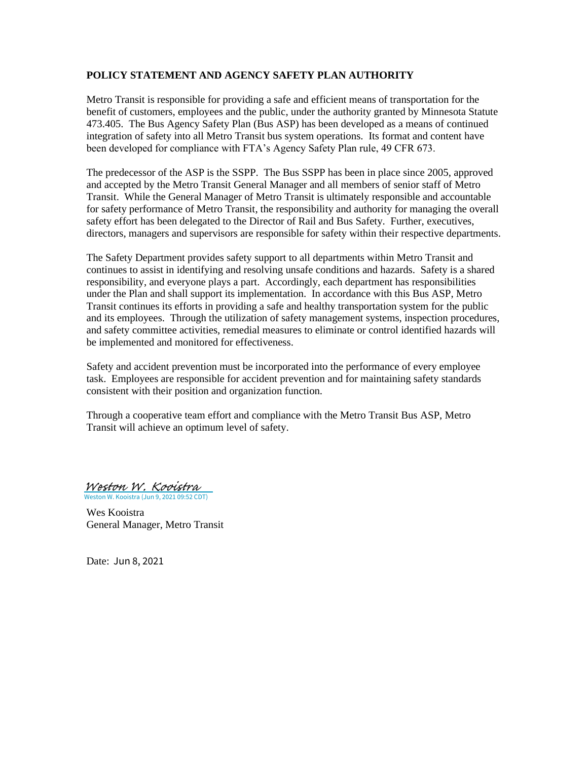#### <span id="page-2-1"></span><span id="page-2-0"></span>**POLICY STATEMENT AND AGENCY SAFETY PLAN AUTHORITY**

Metro Transit is responsible for providing a safe and efficient means of transportation for the benefit of customers, employees and the public, under the authority granted by Minnesota Statute 473.405. The Bus Agency Safety Plan (Bus ASP) has been developed as a means of continued integration of safety into all Metro Transit bus system operations. Its format and content have been developed for compliance with FTA's Agency Safety Plan rule, 49 CFR 673.

The predecessor of the ASP is the SSPP. The Bus SSPP has been in place since 2005, approved and accepted by the Metro Transit General Manager and all members of senior staff of Metro Transit. While the General Manager of Metro Transit is ultimately responsible and accountable for safety performance of Metro Transit, the responsibility and authority for managing the overall safety effort has been delegated to the Director of Rail and Bus Safety. Further, executives, directors, managers and supervisors are responsible for safety within their respective departments.

The Safety Department provides safety support to all departments within Metro Transit and continues to assist in identifying and resolving unsafe conditions and hazards. Safety is a shared responsibility, and everyone plays a part. Accordingly, each department has responsibilities under the Plan and shall support its implementation. In accordance with this Bus ASP, Metro Transit continues its efforts in providing a safe and healthy transportation system for the public and its employees. Through the utilization of safety management systems, inspection procedures, and safety committee activities, remedial measures to eliminate or control identified hazards will be implemented and monitored for effectiveness.

Safety and accident prevention must be incorporated into the performance of every employee task. Employees are responsible for accident prevention and for maintaining safety standards consistent with their position and organization function.

Through a cooperative team effort and compliance with the Metro Transit Bus ASP, Metro Transit will achieve an optimum level of safety.

Weston W. Kooistra (Jun 9, 2021 09:52 CDT) [Weston W. Kooistra](https://metcouncil.na1.adobesign.com/verifier?tx=CBJCHBCAABAAbv095Oileiw7k3zxzIEoGvhvQBmkPgHw)

Wes Kooistra General Manager, Metro Transit

Date: Jun 8, 2021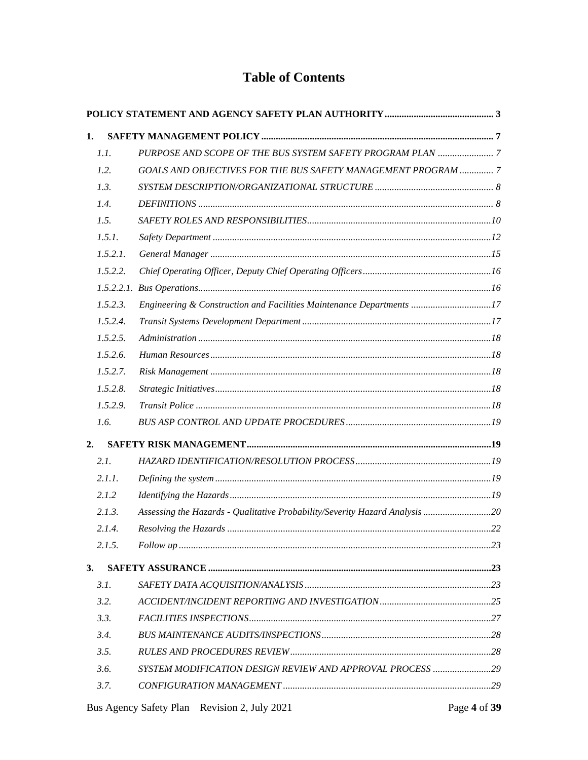### **Table of Contents**

| 1. |          |                                                                             |  |  |  |
|----|----------|-----------------------------------------------------------------------------|--|--|--|
|    | 1.1.     |                                                                             |  |  |  |
|    | 1.2.     | GOALS AND OBJECTIVES FOR THE BUS SAFETY MANAGEMENT PROGRAM  7               |  |  |  |
|    | 1.3.     |                                                                             |  |  |  |
|    | 1.4.     |                                                                             |  |  |  |
|    | 1.5.     |                                                                             |  |  |  |
|    | 1.5.1.   |                                                                             |  |  |  |
|    | 1.5.2.1. |                                                                             |  |  |  |
|    | 1.5.2.2. |                                                                             |  |  |  |
|    |          |                                                                             |  |  |  |
|    | 1.5.2.3. | Engineering & Construction and Facilities Maintenance Departments 17        |  |  |  |
|    | 1.5.2.4. |                                                                             |  |  |  |
|    | 1.5.2.5. |                                                                             |  |  |  |
|    | 1.5.2.6. |                                                                             |  |  |  |
|    | 1.5.2.7. |                                                                             |  |  |  |
|    | 1.5.2.8. |                                                                             |  |  |  |
|    | 1.5.2.9. |                                                                             |  |  |  |
|    | 1.6.     |                                                                             |  |  |  |
| 2. |          |                                                                             |  |  |  |
|    | 2.1.     |                                                                             |  |  |  |
|    | 2.1.1.   |                                                                             |  |  |  |
|    | 2.1.2    |                                                                             |  |  |  |
|    | 2.1.3.   | Assessing the Hazards - Qualitative Probability/Severity Hazard Analysis 20 |  |  |  |
|    | 2.1.4.   |                                                                             |  |  |  |
|    | 2.1.5.   |                                                                             |  |  |  |
| 3. |          |                                                                             |  |  |  |
|    | 3.1.     |                                                                             |  |  |  |
|    | 3.2.     |                                                                             |  |  |  |
|    | 3.3.     |                                                                             |  |  |  |
|    | 3.4.     |                                                                             |  |  |  |
|    | 3.5.     |                                                                             |  |  |  |
|    | 3.6.     | SYSTEM MODIFICATION DESIGN REVIEW AND APPROVAL PROCESS 29                   |  |  |  |
|    | 3.7.     |                                                                             |  |  |  |
|    |          |                                                                             |  |  |  |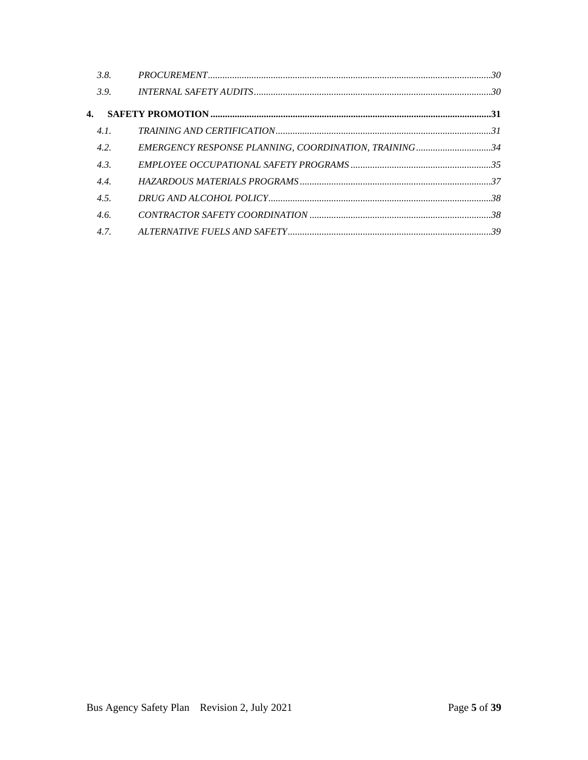| 3.8. |                                                       |  |
|------|-------------------------------------------------------|--|
| 3.9. |                                                       |  |
| 4.   |                                                       |  |
| 4.1. |                                                       |  |
| 4.2. | EMERGENCY RESPONSE PLANNING, COORDINATION, TRAINING34 |  |
| 4.3. |                                                       |  |
| 4.4. |                                                       |  |
| 4.5. |                                                       |  |
| 4.6. |                                                       |  |
| 4.7. |                                                       |  |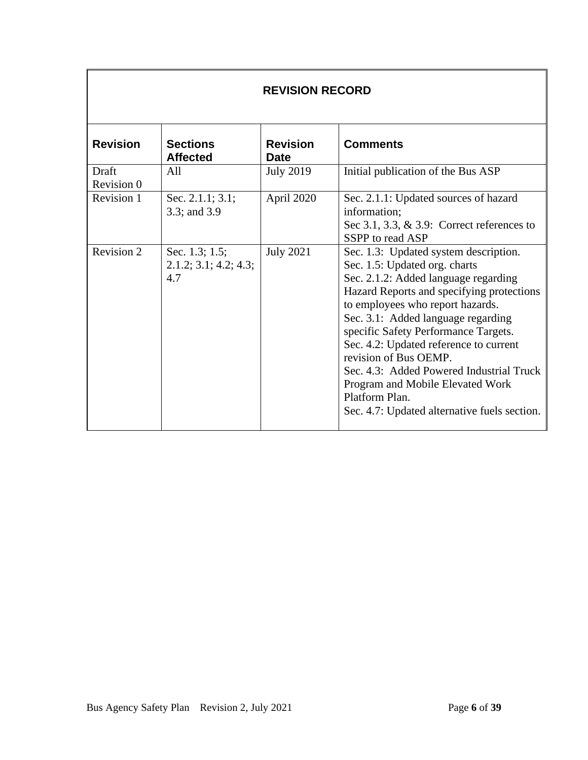| <b>REVISION RECORD</b> |                                                |                                |                                                                                                                                                                                                                                                                                                                                                                                                                                                                                                    |
|------------------------|------------------------------------------------|--------------------------------|----------------------------------------------------------------------------------------------------------------------------------------------------------------------------------------------------------------------------------------------------------------------------------------------------------------------------------------------------------------------------------------------------------------------------------------------------------------------------------------------------|
| <b>Revision</b>        | <b>Sections</b><br><b>Affected</b>             | <b>Revision</b><br><b>Date</b> | <b>Comments</b>                                                                                                                                                                                                                                                                                                                                                                                                                                                                                    |
| Draft<br>Revision 0    | All                                            | <b>July 2019</b>               | Initial publication of the Bus ASP                                                                                                                                                                                                                                                                                                                                                                                                                                                                 |
| Revision 1             | Sec. 2.1.1; 3.1;<br>3.3; and 3.9               | April 2020                     | Sec. 2.1.1: Updated sources of hazard<br>information;<br>Sec 3.1, 3.3, $\&$ 3.9: Correct references to<br>SSPP to read ASP                                                                                                                                                                                                                                                                                                                                                                         |
| Revision 2             | Sec. 1.3; 1.5;<br>2.1.2; 3.1; 4.2; 4.3;<br>4.7 | <b>July 2021</b>               | Sec. 1.3: Updated system description.<br>Sec. 1.5: Updated org. charts<br>Sec. 2.1.2: Added language regarding<br>Hazard Reports and specifying protections<br>to employees who report hazards.<br>Sec. 3.1: Added language regarding<br>specific Safety Performance Targets.<br>Sec. 4.2: Updated reference to current<br>revision of Bus OEMP.<br>Sec. 4.3: Added Powered Industrial Truck<br>Program and Mobile Elevated Work<br>Platform Plan.<br>Sec. 4.7: Updated alternative fuels section. |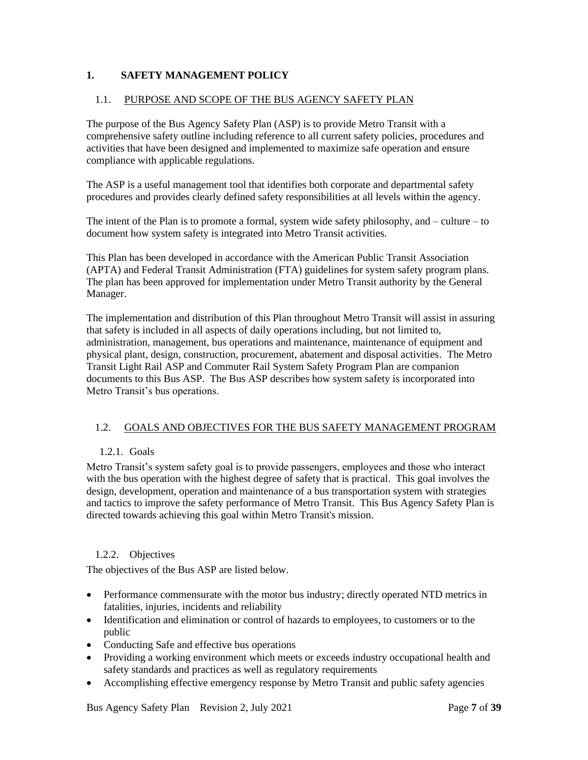#### <span id="page-6-3"></span><span id="page-6-0"></span>**1. SAFETY MANAGEMENT POLICY**

#### <span id="page-6-1"></span>1.1. PURPOSE AND SCOPE OF THE BUS AGENCY SAFETY PLAN

The purpose of the Bus Agency Safety Plan (ASP) is to provide Metro Transit with a comprehensive safety outline including reference to all current safety policies, procedures and activities that have been designed and implemented to maximize safe operation and ensure compliance with applicable regulations.

The ASP is a useful management tool that identifies both corporate and departmental safety procedures and provides clearly defined safety responsibilities at all levels within the agency.

The intent of the Plan is to promote a formal, system wide safety philosophy, and – culture – to document how system safety is integrated into Metro Transit activities.

This Plan has been developed in accordance with the American Public Transit Association (APTA) and Federal Transit Administration (FTA) guidelines for system safety program plans. The plan has been approved for implementation under Metro Transit authority by the General Manager.

The implementation and distribution of this Plan throughout Metro Transit will assist in assuring that safety is included in all aspects of daily operations including, but not limited to, administration, management, bus operations and maintenance, maintenance of equipment and physical plant, design, construction, procurement, abatement and disposal activities. The Metro Transit Light Rail ASP and Commuter Rail System Safety Program Plan are companion documents to this Bus ASP. The Bus ASP describes how system safety is incorporated into Metro Transit's bus operations.

#### <span id="page-6-2"></span>1.2. GOALS AND OBJECTIVES FOR THE BUS SAFETY MANAGEMENT PROGRAM

#### 1.2.1. Goals

Metro Transit's system safety goal is to provide passengers, employees and those who interact with the bus operation with the highest degree of safety that is practical. This goal involves the design, development, operation and maintenance of a bus transportation system with strategies and tactics to improve the safety performance of Metro Transit. This Bus Agency Safety Plan is directed towards achieving this goal within Metro Transit's mission.

#### 1.2.2. Objectives

The objectives of the Bus ASP are listed below.

- Performance commensurate with the motor bus industry; directly operated NTD metrics in fatalities, injuries, incidents and reliability
- Identification and elimination or control of hazards to employees, to customers or to the public
- Conducting Safe and effective bus operations
- Providing a working environment which meets or exceeds industry occupational health and safety standards and practices as well as regulatory requirements
- Accomplishing effective emergency response by Metro Transit and public safety agencies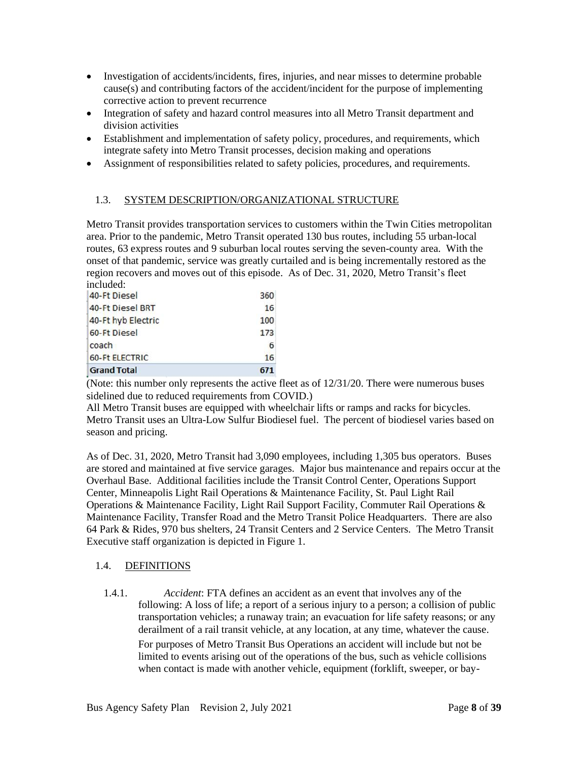- <span id="page-7-2"></span>• Investigation of accidents/incidents, fires, injuries, and near misses to determine probable cause(s) and contributing factors of the accident/incident for the purpose of implementing corrective action to prevent recurrence
- Integration of safety and hazard control measures into all Metro Transit department and division activities
- Establishment and implementation of safety policy, procedures, and requirements, which integrate safety into Metro Transit processes, decision making and operations
- Assignment of responsibilities related to safety policies, procedures, and requirements.

#### <span id="page-7-0"></span>1.3. SYSTEM DESCRIPTION/ORGANIZATIONAL STRUCTURE

Metro Transit provides transportation services to customers within the Twin Cities metropolitan area. Prior to the pandemic, Metro Transit operated 130 bus routes, including 55 urban-local routes, 63 express routes and 9 suburban local routes serving the seven-county area. With the onset of that pandemic, service was greatly curtailed and is being incrementally restored as the region recovers and moves out of this episode. As of Dec. 31, 2020, Metro Transit's fleet included:

| <b>Grand Total</b>    | 671 |
|-----------------------|-----|
| <b>60-Ft ELECTRIC</b> | 16  |
| coach                 | 6   |
| 60-Ft Diesel          | 173 |
| 40-Ft hyb Electric    | 100 |
| 40-Ft Diesel BRT      | 16  |
| 40-Ft Diesel          | 360 |

(Note: this number only represents the active fleet as of 12/31/20. There were numerous buses sidelined due to reduced requirements from COVID.)

All Metro Transit buses are equipped with wheelchair lifts or ramps and racks for bicycles. Metro Transit uses an Ultra-Low Sulfur Biodiesel fuel. The percent of biodiesel varies based on season and pricing.

As of Dec. 31, 2020, Metro Transit had 3,090 employees, including 1,305 bus operators. Buses are stored and maintained at five service garages. Major bus maintenance and repairs occur at the Overhaul Base. Additional facilities include the Transit Control Center, Operations Support Center, Minneapolis Light Rail Operations & Maintenance Facility, St. Paul Light Rail Operations & Maintenance Facility, Light Rail Support Facility, Commuter Rail Operations & Maintenance Facility, Transfer Road and the Metro Transit Police Headquarters. There are also 64 Park & Rides, 970 bus shelters, 24 Transit Centers and 2 Service Centers. The Metro Transit Executive staff organization is depicted in Figure 1.

#### <span id="page-7-1"></span>1.4. DEFINITIONS

1.4.1. *Accident*: FTA defines an accident as an event that involves any of the following: A loss of life; a report of a serious injury to a person; a collision of public transportation vehicles; a runaway train; an evacuation for life safety reasons; or any derailment of a rail transit vehicle, at any location, at any time, whatever the cause. For purposes of Metro Transit Bus Operations an accident will include but not be

limited to events arising out of the operations of the bus, such as vehicle collisions when contact is made with another vehicle, equipment (forklift, sweeper, or bay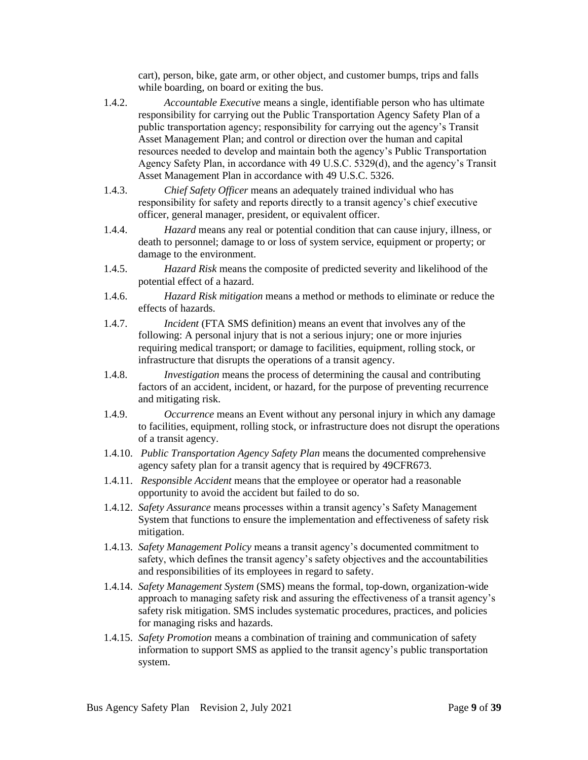cart), person, bike, gate arm, or other object, and customer bumps, trips and falls while boarding, on board or exiting the bus.

- 1.4.2. *Accountable Executive* means a single, identifiable person who has ultimate responsibility for carrying out the Public Transportation Agency Safety Plan of a public transportation agency; responsibility for carrying out the agency's Transit Asset Management Plan; and control or direction over the human and capital resources needed to develop and maintain both the agency's Public Transportation Agency Safety Plan, in accordance with 49 U.S.C. 5329(d), and the agency's Transit Asset Management Plan in accordance with 49 U.S.C. 5326.
- 1.4.3. *Chief Safety Officer* means an adequately trained individual who has responsibility for safety and reports directly to a transit agency's chief executive officer, general manager, president, or equivalent officer.
- 1.4.4. *Hazard* means any real or potential condition that can cause injury, illness, or death to personnel; damage to or loss of system service, equipment or property; or damage to the environment.
- 1.4.5. *Hazard Risk* means the composite of predicted severity and likelihood of the potential effect of a hazard.
- 1.4.6. *Hazard Risk mitigation* means a method or methods to eliminate or reduce the effects of hazards.
- 1.4.7. *Incident* (FTA SMS definition) means an event that involves any of the following: A personal injury that is not a serious injury; one or more injuries requiring medical transport; or damage to facilities, equipment, rolling stock, or infrastructure that disrupts the operations of a transit agency.
- 1.4.8. *Investigation* means the process of determining the causal and contributing factors of an accident, incident, or hazard, for the purpose of preventing recurrence and mitigating risk.
- 1.4.9. *Occurrence* means an Event without any personal injury in which any damage to facilities, equipment, rolling stock, or infrastructure does not disrupt the operations of a transit agency.
- 1.4.10. *Public Transportation Agency Safety Plan* means the documented comprehensive agency safety plan for a transit agency that is required by 49CFR673.
- 1.4.11. *Responsible Accident* means that the employee or operator had a reasonable opportunity to avoid the accident but failed to do so.
- 1.4.12. *Safety Assurance* means processes within a transit agency's Safety Management System that functions to ensure the implementation and effectiveness of safety risk mitigation.
- 1.4.13. *Safety Management Policy* means a transit agency's documented commitment to safety, which defines the transit agency's safety objectives and the accountabilities and responsibilities of its employees in regard to safety.
- 1.4.14. *Safety Management System* (SMS) means the formal, top-down, organization-wide approach to managing safety risk and assuring the effectiveness of a transit agency's safety risk mitigation. SMS includes systematic procedures, practices, and policies for managing risks and hazards.
- 1.4.15. *Safety Promotion* means a combination of training and communication of safety information to support SMS as applied to the transit agency's public transportation system.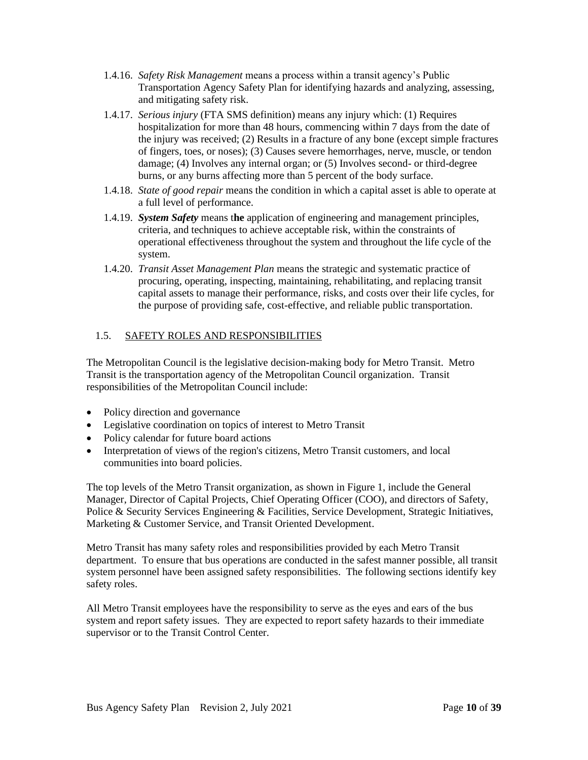- <span id="page-9-1"></span>1.4.16. *Safety Risk Management* means a process within a transit agency's Public Transportation Agency Safety Plan for identifying hazards and analyzing, assessing, and mitigating safety risk.
- 1.4.17. *Serious injury* (FTA SMS definition) means any injury which: (1) Requires hospitalization for more than 48 hours, commencing within 7 days from the date of the injury was received; (2) Results in a fracture of any bone (except simple fractures of fingers, toes, or noses); (3) Causes severe hemorrhages, nerve, muscle, or tendon damage; (4) Involves any internal organ; or (5) Involves second- or third-degree burns, or any burns affecting more than 5 percent of the body surface.
- 1.4.18. *State of good repair* means the condition in which a capital asset is able to operate at a full level of performance.
- 1.4.19. *System Safety* means t**he** application of engineering and management principles, criteria, and techniques to achieve acceptable risk, within the constraints of operational effectiveness throughout the system and throughout the life cycle of the system.
- 1.4.20. *Transit Asset Management Plan* means the strategic and systematic practice of procuring, operating, inspecting, maintaining, rehabilitating, and replacing transit capital assets to manage their performance, risks, and costs over their life cycles, for the purpose of providing safe, cost-effective, and reliable public transportation.

#### <span id="page-9-0"></span>1.5. SAFETY ROLES AND RESPONSIBILITIES

The Metropolitan Council is the legislative decision-making body for Metro Transit. Metro Transit is the transportation agency of the Metropolitan Council organization. Transit responsibilities of the Metropolitan Council include:

- Policy direction and governance
- Legislative coordination on topics of interest to Metro Transit
- Policy calendar for future board actions
- Interpretation of views of the region's citizens, Metro Transit customers, and local communities into board policies.

The top levels of the Metro Transit organization, as shown in Figure 1, include the General Manager, Director of Capital Projects, Chief Operating Officer (COO), and directors of Safety, Police & Security Services Engineering & Facilities, Service Development, Strategic Initiatives, Marketing & Customer Service, and Transit Oriented Development.

Metro Transit has many safety roles and responsibilities provided by each Metro Transit department. To ensure that bus operations are conducted in the safest manner possible, all transit system personnel have been assigned safety responsibilities. The following sections identify key safety roles.

All Metro Transit employees have the responsibility to serve as the eyes and ears of the bus system and report safety issues. They are expected to report safety hazards to their immediate supervisor or to the Transit Control Center.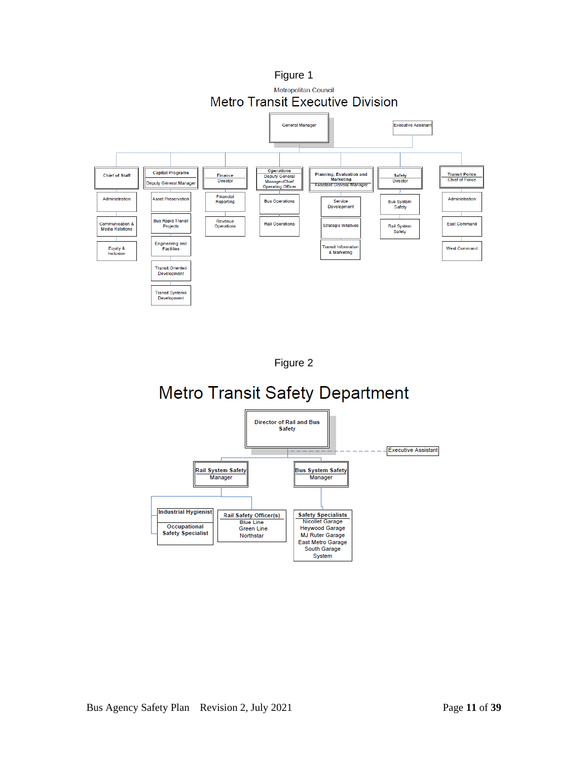



# **Metro Transit Safety Department**

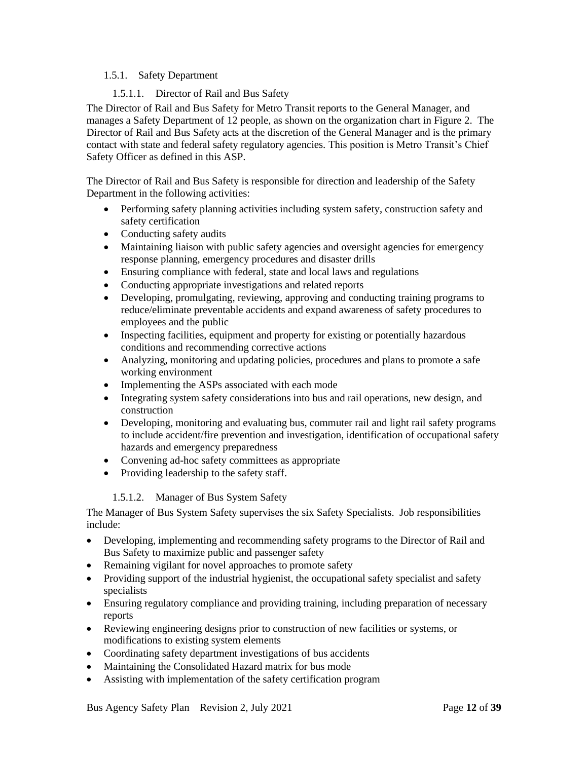#### <span id="page-11-1"></span><span id="page-11-0"></span>1.5.1. Safety Department

#### 1.5.1.1. Director of Rail and Bus Safety

The Director of Rail and Bus Safety for Metro Transit reports to the General Manager, and manages a Safety Department of 12 people, as shown on the organization chart in Figure 2. The Director of Rail and Bus Safety acts at the discretion of the General Manager and is the primary contact with state and federal safety regulatory agencies. This position is Metro Transit's Chief Safety Officer as defined in this ASP.

The Director of Rail and Bus Safety is responsible for direction and leadership of the Safety Department in the following activities:

- Performing safety planning activities including system safety, construction safety and safety certification
- Conducting safety audits
- Maintaining liaison with public safety agencies and oversight agencies for emergency response planning, emergency procedures and disaster drills
- Ensuring compliance with federal, state and local laws and regulations
- Conducting appropriate investigations and related reports
- Developing, promulgating, reviewing, approving and conducting training programs to reduce/eliminate preventable accidents and expand awareness of safety procedures to employees and the public
- Inspecting facilities, equipment and property for existing or potentially hazardous conditions and recommending corrective actions
- Analyzing, monitoring and updating policies, procedures and plans to promote a safe working environment
- Implementing the ASPs associated with each mode
- Integrating system safety considerations into bus and rail operations, new design, and construction
- Developing, monitoring and evaluating bus, commuter rail and light rail safety programs to include accident/fire prevention and investigation, identification of occupational safety hazards and emergency preparedness
- Convening ad-hoc safety committees as appropriate
- Providing leadership to the safety staff.

#### 1.5.1.2. Manager of Bus System Safety

The Manager of Bus System Safety supervises the six Safety Specialists. Job responsibilities include:

- Developing, implementing and recommending safety programs to the Director of Rail and Bus Safety to maximize public and passenger safety
- Remaining vigilant for novel approaches to promote safety
- Providing support of the industrial hygienist, the occupational safety specialist and safety specialists
- Ensuring regulatory compliance and providing training, including preparation of necessary reports
- Reviewing engineering designs prior to construction of new facilities or systems, or modifications to existing system elements
- Coordinating safety department investigations of bus accidents
- Maintaining the Consolidated Hazard matrix for bus mode
- Assisting with implementation of the safety certification program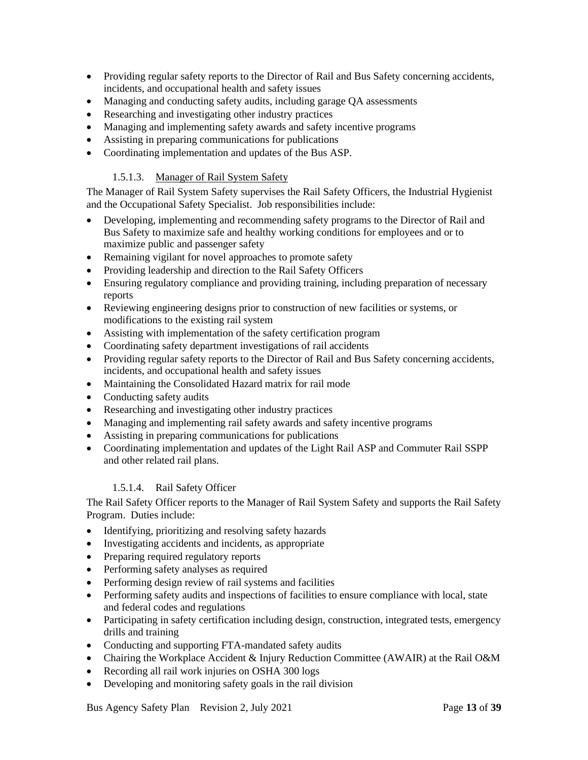- Providing regular safety reports to the Director of Rail and Bus Safety concerning accidents, incidents, and occupational health and safety issues
- Managing and conducting safety audits, including garage OA assessments
- Researching and investigating other industry practices
- Managing and implementing safety awards and safety incentive programs
- Assisting in preparing communications for publications
- Coordinating implementation and updates of the Bus ASP.

#### 1.5.1.3. Manager of Rail System Safety

The Manager of Rail System Safety supervises the Rail Safety Officers, the Industrial Hygienist and the Occupational Safety Specialist. Job responsibilities include:

- Developing, implementing and recommending safety programs to the Director of Rail and Bus Safety to maximize safe and healthy working conditions for employees and or to maximize public and passenger safety
- Remaining vigilant for novel approaches to promote safety
- Providing leadership and direction to the Rail Safety Officers
- Ensuring regulatory compliance and providing training, including preparation of necessary reports
- Reviewing engineering designs prior to construction of new facilities or systems, or modifications to the existing rail system
- Assisting with implementation of the safety certification program
- Coordinating safety department investigations of rail accidents
- Providing regular safety reports to the Director of Rail and Bus Safety concerning accidents, incidents, and occupational health and safety issues
- Maintaining the Consolidated Hazard matrix for rail mode
- Conducting safety audits
- Researching and investigating other industry practices
- Managing and implementing rail safety awards and safety incentive programs
- Assisting in preparing communications for publications
- Coordinating implementation and updates of the Light Rail ASP and Commuter Rail SSPP and other related rail plans.

#### 1.5.1.4. Rail Safety Officer

The Rail Safety Officer reports to the Manager of Rail System Safety and supports the Rail Safety Program. Duties include:

- Identifying, prioritizing and resolving safety hazards
- Investigating accidents and incidents, as appropriate
- Preparing required regulatory reports
- Performing safety analyses as required
- Performing design review of rail systems and facilities
- Performing safety audits and inspections of facilities to ensure compliance with local, state and federal codes and regulations
- Participating in safety certification including design, construction, integrated tests, emergency drills and training
- Conducting and supporting FTA-mandated safety audits
- Chairing the Workplace Accident & Injury Reduction Committee (AWAIR) at the Rail O&M
- Recording all rail work injuries on OSHA 300 logs
- Developing and monitoring safety goals in the rail division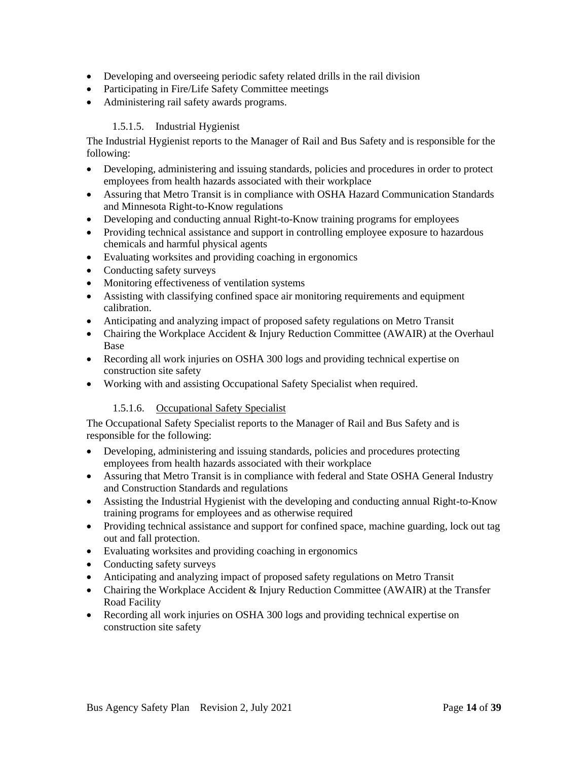- Developing and overseeing periodic safety related drills in the rail division
- Participating in Fire/Life Safety Committee meetings
- Administering rail safety awards programs.

#### 1.5.1.5. Industrial Hygienist

The Industrial Hygienist reports to the Manager of Rail and Bus Safety and is responsible for the following:

- Developing, administering and issuing standards, policies and procedures in order to protect employees from health hazards associated with their workplace
- Assuring that Metro Transit is in compliance with OSHA Hazard Communication Standards and Minnesota Right-to-Know regulations
- Developing and conducting annual Right-to-Know training programs for employees
- Providing technical assistance and support in controlling employee exposure to hazardous chemicals and harmful physical agents
- Evaluating worksites and providing coaching in ergonomics
- Conducting safety surveys
- Monitoring effectiveness of ventilation systems
- Assisting with classifying confined space air monitoring requirements and equipment calibration.
- Anticipating and analyzing impact of proposed safety regulations on Metro Transit
- Chairing the Workplace Accident & Injury Reduction Committee (AWAIR) at the Overhaul Base
- Recording all work injuries on OSHA 300 logs and providing technical expertise on construction site safety
- Working with and assisting Occupational Safety Specialist when required.

#### 1.5.1.6. Occupational Safety Specialist

The Occupational Safety Specialist reports to the Manager of Rail and Bus Safety and is responsible for the following:

- Developing, administering and issuing standards, policies and procedures protecting employees from health hazards associated with their workplace
- Assuring that Metro Transit is in compliance with federal and State OSHA General Industry and Construction Standards and regulations
- Assisting the Industrial Hygienist with the developing and conducting annual Right-to-Know training programs for employees and as otherwise required
- Providing technical assistance and support for confined space, machine guarding, lock out tag out and fall protection.
- Evaluating worksites and providing coaching in ergonomics
- Conducting safety surveys
- Anticipating and analyzing impact of proposed safety regulations on Metro Transit
- Chairing the Workplace Accident & Injury Reduction Committee (AWAIR) at the Transfer Road Facility
- Recording all work injuries on OSHA 300 logs and providing technical expertise on construction site safety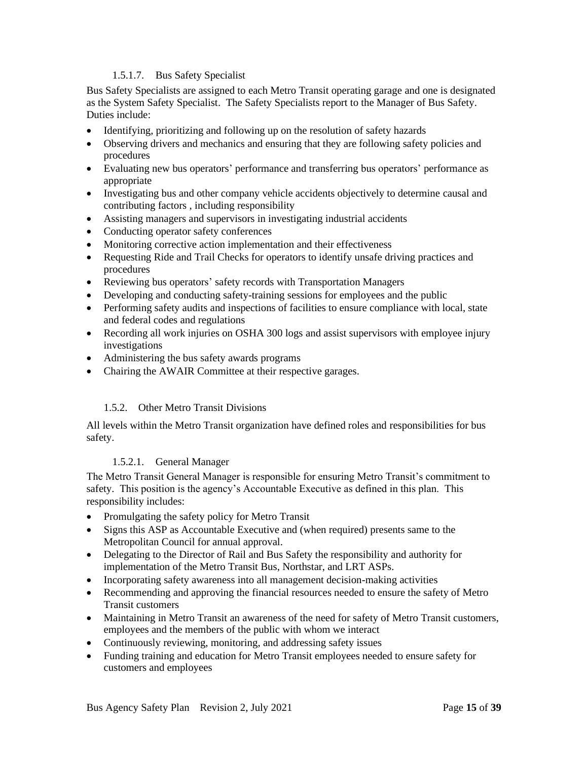#### 1.5.1.7. Bus Safety Specialist

<span id="page-14-1"></span>Bus Safety Specialists are assigned to each Metro Transit operating garage and one is designated as the System Safety Specialist. The Safety Specialists report to the Manager of Bus Safety. Duties include:

- Identifying, prioritizing and following up on the resolution of safety hazards
- Observing drivers and mechanics and ensuring that they are following safety policies and procedures
- Evaluating new bus operators' performance and transferring bus operators' performance as appropriate
- Investigating bus and other company vehicle accidents objectively to determine causal and contributing factors , including responsibility
- Assisting managers and supervisors in investigating industrial accidents
- Conducting operator safety conferences
- Monitoring corrective action implementation and their effectiveness
- Requesting Ride and Trail Checks for operators to identify unsafe driving practices and procedures
- Reviewing bus operators' safety records with Transportation Managers
- Developing and conducting safety-training sessions for employees and the public
- Performing safety audits and inspections of facilities to ensure compliance with local, state and federal codes and regulations
- Recording all work injuries on OSHA 300 logs and assist supervisors with employee injury investigations
- Administering the bus safety awards programs
- Chairing the AWAIR Committee at their respective garages.

#### 1.5.2. Other Metro Transit Divisions

All levels within the Metro Transit organization have defined roles and responsibilities for bus safety.

#### 1.5.2.1. General Manager

<span id="page-14-0"></span>The Metro Transit General Manager is responsible for ensuring Metro Transit's commitment to safety. This position is the agency's Accountable Executive as defined in this plan. This responsibility includes:

- Promulgating the safety policy for Metro Transit
- Signs this ASP as Accountable Executive and (when required) presents same to the Metropolitan Council for annual approval.
- Delegating to the Director of Rail and Bus Safety the responsibility and authority for implementation of the Metro Transit Bus, Northstar, and LRT ASPs.
- Incorporating safety awareness into all management decision-making activities
- Recommending and approving the financial resources needed to ensure the safety of Metro Transit customers
- Maintaining in Metro Transit an awareness of the need for safety of Metro Transit customers, employees and the members of the public with whom we interact
- Continuously reviewing, monitoring, and addressing safety issues
- Funding training and education for Metro Transit employees needed to ensure safety for customers and employees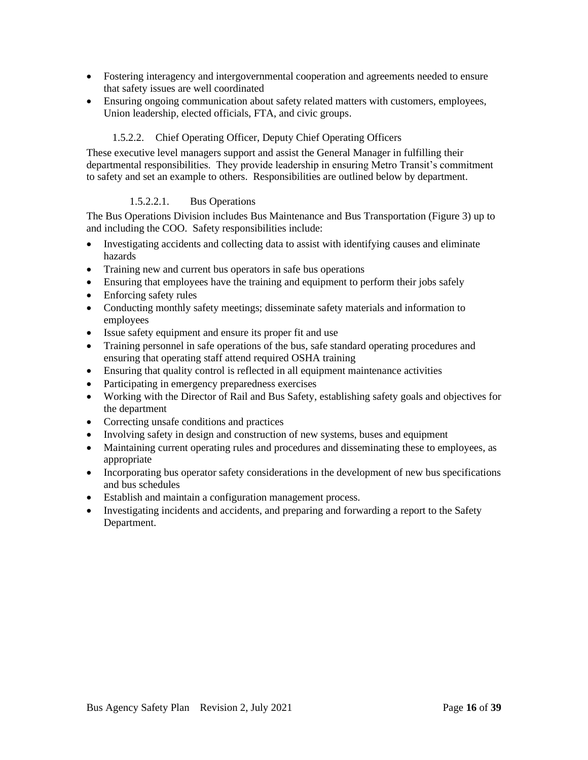- <span id="page-15-2"></span>• Fostering interagency and intergovernmental cooperation and agreements needed to ensure that safety issues are well coordinated
- Ensuring ongoing communication about safety related matters with customers, employees, Union leadership, elected officials, FTA, and civic groups.

#### 1.5.2.2. Chief Operating Officer, Deputy Chief Operating Officers

<span id="page-15-0"></span>These executive level managers support and assist the General Manager in fulfilling their departmental responsibilities. They provide leadership in ensuring Metro Transit's commitment to safety and set an example to others. Responsibilities are outlined below by department.

#### 1.5.2.2.1. Bus Operations

<span id="page-15-1"></span>The Bus Operations Division includes Bus Maintenance and Bus Transportation (Figure 3) up to and including the COO. Safety responsibilities include:

- Investigating accidents and collecting data to assist with identifying causes and eliminate hazards
- Training new and current bus operators in safe bus operations
- Ensuring that employees have the training and equipment to perform their jobs safely
- Enforcing safety rules
- Conducting monthly safety meetings; disseminate safety materials and information to employees
- Issue safety equipment and ensure its proper fit and use
- Training personnel in safe operations of the bus, safe standard operating procedures and ensuring that operating staff attend required OSHA training
- Ensuring that quality control is reflected in all equipment maintenance activities
- Participating in emergency preparedness exercises
- Working with the Director of Rail and Bus Safety, establishing safety goals and objectives for the department
- Correcting unsafe conditions and practices
- Involving safety in design and construction of new systems, buses and equipment
- Maintaining current operating rules and procedures and disseminating these to employees, as appropriate
- Incorporating bus operator safety considerations in the development of new bus specifications and bus schedules
- Establish and maintain a configuration management process.
- Investigating incidents and accidents, and preparing and forwarding a report to the Safety Department.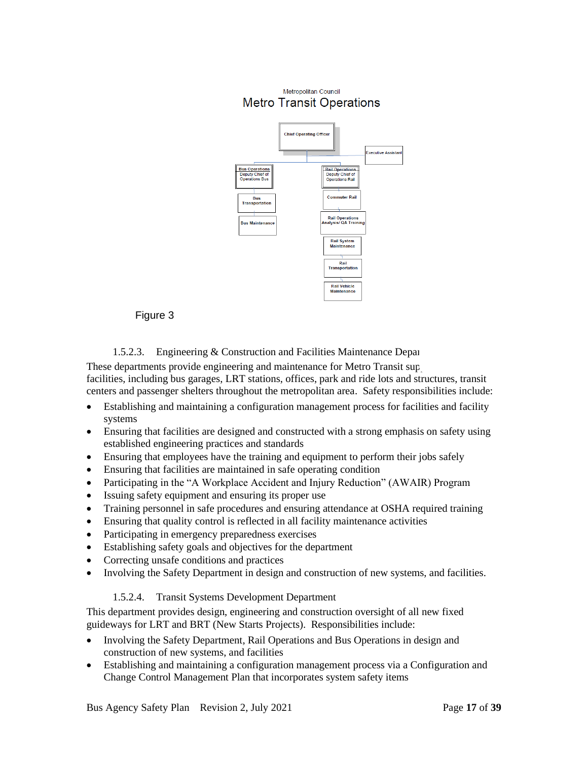<span id="page-16-2"></span>

#### Figure 3

#### 1.5.2.3. Engineering  $&$  Construction and Facilities Maintenance Departments

<span id="page-16-0"></span>These departments provide engineering and maintenance for Metro Transit sup facilities, including bus garages, LRT stations, offices, park and ride lots and structures, transit centers and passenger shelters throughout the metropolitan area. Safety responsibilities include:

- Establishing and maintaining a configuration management process for facilities and facility systems
- Ensuring that facilities are designed and constructed with a strong emphasis on safety using established engineering practices and standards
- Ensuring that employees have the training and equipment to perform their jobs safely
- Ensuring that facilities are maintained in safe operating condition
- Participating in the "A Workplace Accident and Injury Reduction" (AWAIR) Program
- Issuing safety equipment and ensuring its proper use
- Training personnel in safe procedures and ensuring attendance at OSHA required training
- Ensuring that quality control is reflected in all facility maintenance activities
- Participating in emergency preparedness exercises
- Establishing safety goals and objectives for the department
- Correcting unsafe conditions and practices
- Involving the Safety Department in design and construction of new systems, and facilities.

#### 1.5.2.4. Transit Systems Development Department

<span id="page-16-1"></span>This department provides design, engineering and construction oversight of all new fixed guideways for LRT and BRT (New Starts Projects). Responsibilities include:

- Involving the Safety Department, Rail Operations and Bus Operations in design and construction of new systems, and facilities
- Establishing and maintaining a configuration management process via a Configuration and Change Control Management Plan that incorporates system safety items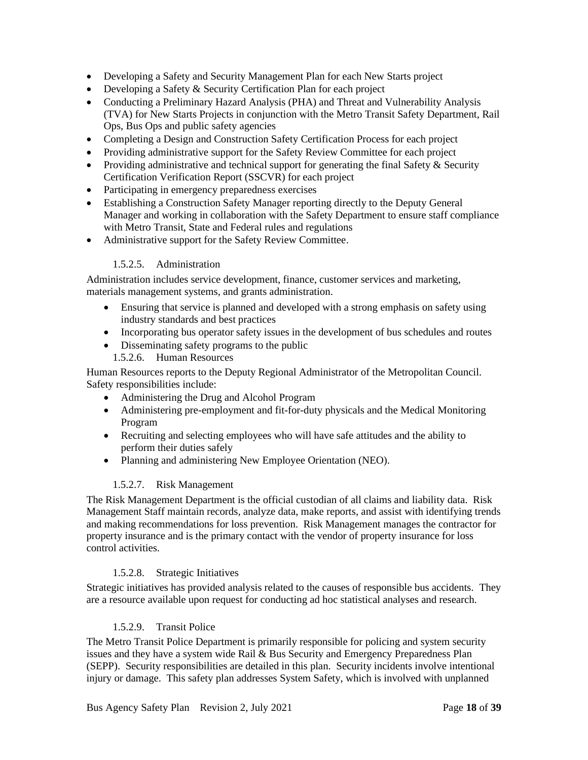- <span id="page-17-5"></span>• Developing a Safety and Security Management Plan for each New Starts project
- Developing a Safety & Security Certification Plan for each project
- Conducting a Preliminary Hazard Analysis (PHA) and Threat and Vulnerability Analysis (TVA) for New Starts Projects in conjunction with the Metro Transit Safety Department, Rail Ops, Bus Ops and public safety agencies
- Completing a Design and Construction Safety Certification Process for each project
- Providing administrative support for the Safety Review Committee for each project
- Providing administrative and technical support for generating the final Safety & Security Certification Verification Report (SSCVR) for each project
- Participating in emergency preparedness exercises
- Establishing a Construction Safety Manager reporting directly to the Deputy General Manager and working in collaboration with the Safety Department to ensure staff compliance with Metro Transit, State and Federal rules and regulations
- Administrative support for the Safety Review Committee.

#### 1.5.2.5. Administration

<span id="page-17-0"></span>Administration includes service development, finance, customer services and marketing, materials management systems, and grants administration.

- Ensuring that service is planned and developed with a strong emphasis on safety using industry standards and best practices
- Incorporating bus operator safety issues in the development of bus schedules and routes
- Disseminating safety programs to the public 1.5.2.6. Human Resources

<span id="page-17-1"></span>Human Resources reports to the Deputy Regional Administrator of the Metropolitan Council. Safety responsibilities include:

- Administering the Drug and Alcohol Program
- Administering pre-employment and fit-for-duty physicals and the Medical Monitoring Program
- Recruiting and selecting employees who will have safe attitudes and the ability to perform their duties safely
- Planning and administering New Employee Orientation (NEO).

#### 1.5.2.7. Risk Management

<span id="page-17-2"></span>The Risk Management Department is the official custodian of all claims and liability data. Risk Management Staff maintain records, analyze data, make reports, and assist with identifying trends and making recommendations for loss prevention. Risk Management manages the contractor for property insurance and is the primary contact with the vendor of property insurance for loss control activities.

#### 1.5.2.8. Strategic Initiatives

<span id="page-17-3"></span>Strategic initiatives has provided analysis related to the causes of responsible bus accidents. They are a resource available upon request for conducting ad hoc statistical analyses and research.

#### 1.5.2.9. Transit Police

<span id="page-17-4"></span>The Metro Transit Police Department is primarily responsible for policing and system security issues and they have a system wide Rail & Bus Security and Emergency Preparedness Plan (SEPP). Security responsibilities are detailed in this plan. Security incidents involve intentional injury or damage. This safety plan addresses System Safety, which is involved with unplanned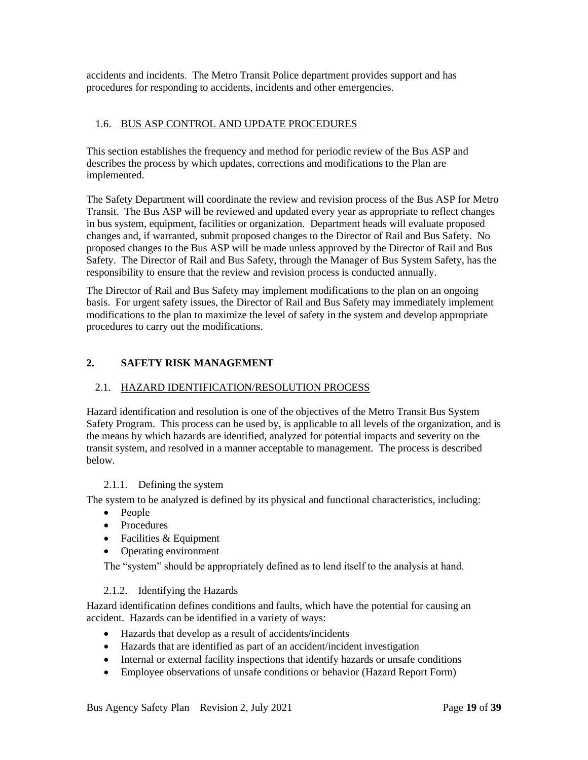<span id="page-18-5"></span>accidents and incidents. The Metro Transit Police department provides support and has procedures for responding to accidents, incidents and other emergencies.

#### <span id="page-18-0"></span>1.6. BUS ASP CONTROL AND UPDATE PROCEDURES

This section establishes the frequency and method for periodic review of the Bus ASP and describes the process by which updates, corrections and modifications to the Plan are implemented.

The Safety Department will coordinate the review and revision process of the Bus ASP for Metro Transit. The Bus ASP will be reviewed and updated every year as appropriate to reflect changes in bus system, equipment, facilities or organization. Department heads will evaluate proposed changes and, if warranted, submit proposed changes to the Director of Rail and Bus Safety. No proposed changes to the Bus ASP will be made unless approved by the Director of Rail and Bus Safety. The Director of Rail and Bus Safety, through the Manager of Bus System Safety, has the responsibility to ensure that the review and revision process is conducted annually.

The Director of Rail and Bus Safety may implement modifications to the plan on an ongoing basis. For urgent safety issues, the Director of Rail and Bus Safety may immediately implement modifications to the plan to maximize the level of safety in the system and develop appropriate procedures to carry out the modifications.

### <span id="page-18-1"></span>**2. SAFETY RISK MANAGEMENT**

#### <span id="page-18-2"></span>2.1. HAZARD IDENTIFICATION/RESOLUTION PROCESS

Hazard identification and resolution is one of the objectives of the Metro Transit Bus System Safety Program. This process can be used by, is applicable to all levels of the organization, and is the means by which hazards are identified, analyzed for potential impacts and severity on the transit system, and resolved in a manner acceptable to management. The process is described below.

#### 2.1.1. Defining the system

<span id="page-18-3"></span>The system to be analyzed is defined by its physical and functional characteristics, including:

- People
- Procedures
- Facilities & Equipment
- Operating environment

The "system" should be appropriately defined as to lend itself to the analysis at hand.

#### <span id="page-18-4"></span>2.1.2. Identifying the Hazards

Hazard identification defines conditions and faults, which have the potential for causing an accident. Hazards can be identified in a variety of ways:

- Hazards that develop as a result of accidents/incidents
- Hazards that are identified as part of an accident/incident investigation
- Internal or external facility inspections that identify hazards or unsafe conditions
- Employee observations of unsafe conditions or behavior (Hazard Report Form)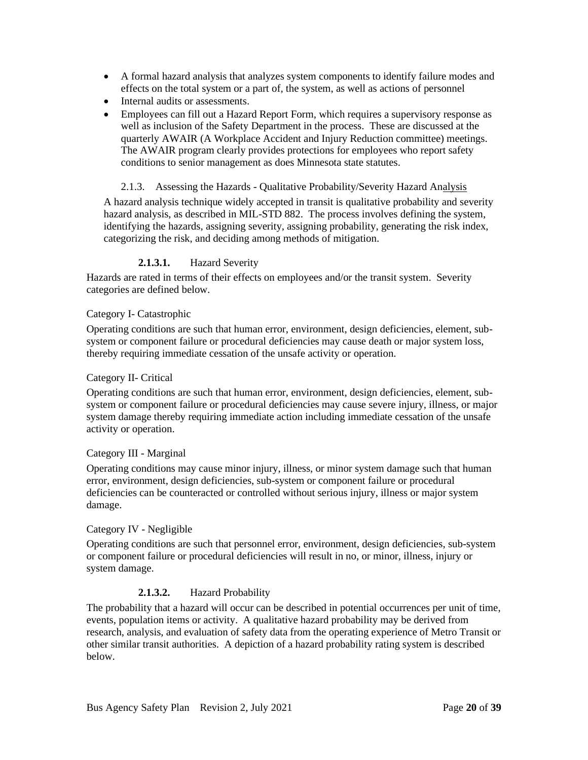- <span id="page-19-1"></span>• A formal hazard analysis that analyzes system components to identify failure modes and effects on the total system or a part of, the system, as well as actions of personnel
- Internal audits or assessments.
- Employees can fill out a Hazard Report Form, which requires a supervisory response as well as inclusion of the Safety Department in the process. These are discussed at the quarterly AWAIR (A Workplace Accident and Injury Reduction committee) meetings. The AWAIR program clearly provides protections for employees who report safety conditions to senior management as does Minnesota state statutes.

<span id="page-19-0"></span>2.1.3. Assessing the Hazards - Qualitative Probability/Severity Hazard Analysis A hazard analysis technique widely accepted in transit is qualitative probability and severity hazard analysis, as described in MIL-STD 882. The process involves defining the system, identifying the hazards, assigning severity, assigning probability, generating the risk index, categorizing the risk, and deciding among methods of mitigation.

#### **2.1.3.1.** Hazard Severity

Hazards are rated in terms of their effects on employees and/or the transit system. Severity categories are defined below.

#### Category I- Catastrophic

Operating conditions are such that human error, environment, design deficiencies, element, subsystem or component failure or procedural deficiencies may cause death or major system loss, thereby requiring immediate cessation of the unsafe activity or operation.

#### Category II- Critical

Operating conditions are such that human error, environment, design deficiencies, element, subsystem or component failure or procedural deficiencies may cause severe injury, illness, or major system damage thereby requiring immediate action including immediate cessation of the unsafe activity or operation.

#### Category III - Marginal

Operating conditions may cause minor injury, illness, or minor system damage such that human error, environment, design deficiencies, sub-system or component failure or procedural deficiencies can be counteracted or controlled without serious injury, illness or major system damage.

#### Category IV - Negligible

Operating conditions are such that personnel error, environment, design deficiencies, sub-system or component failure or procedural deficiencies will result in no, or minor, illness, injury or system damage.

#### **2.1.3.2.** Hazard Probability

The probability that a hazard will occur can be described in potential occurrences per unit of time, events, population items or activity. A qualitative hazard probability may be derived from research, analysis, and evaluation of safety data from the operating experience of Metro Transit or other similar transit authorities. A depiction of a hazard probability rating system is described below.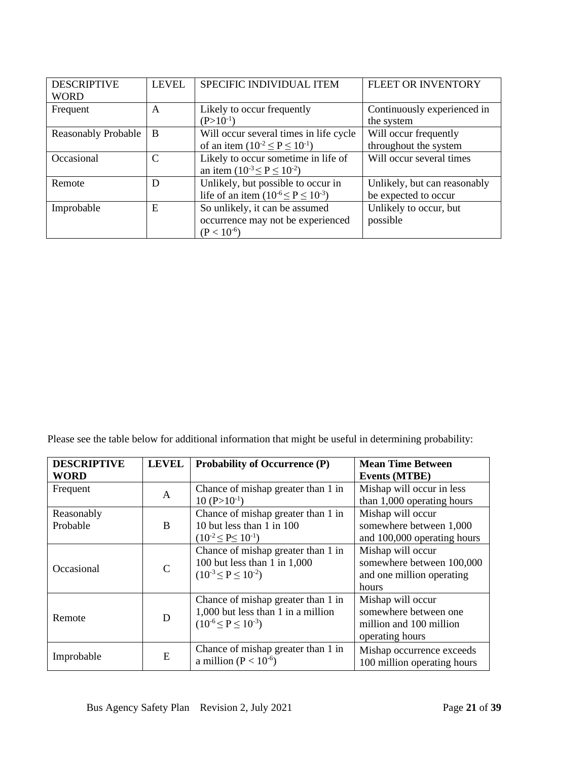| <b>DESCRIPTIVE</b><br><b>WORD</b> | <b>LEVEL</b> | SPECIFIC INDIVIDUAL ITEM                                                               | FLEET OR INVENTORY                                   |
|-----------------------------------|--------------|----------------------------------------------------------------------------------------|------------------------------------------------------|
| Frequent                          | A            | Likely to occur frequently<br>$(P>10^{-1})$                                            | Continuously experienced in<br>the system            |
| <b>Reasonably Probable</b>        | B            | Will occur several times in life cycle<br>of an item $(10^{-2} \le P \le 10^{-1})$     | Will occur frequently<br>throughout the system       |
| Occasional                        | C            | Likely to occur sometime in life of<br>an item $(10^{-3} \le P \le 10^{-2})$           | Will occur several times                             |
| Remote                            | D            | Unlikely, but possible to occur in<br>life of an item $(10^{-6} \le P \le 10^{-3})$    | Unlikely, but can reasonably<br>be expected to occur |
| Improbable                        | E            | So unlikely, it can be assumed<br>occurrence may not be experienced<br>$(P < 10^{-6})$ | Unlikely to occur, but<br>possible                   |

Please see the table below for additional information that might be useful in determining probability:

| <b>DESCRIPTIVE</b> | <b>LEVEL</b> | <b>Probability of Occurrence (P)</b> | <b>Mean Time Between</b>    |
|--------------------|--------------|--------------------------------------|-----------------------------|
| <b>WORD</b>        |              |                                      | <b>Events (MTBE)</b>        |
| Frequent           | $\mathbf{A}$ | Chance of mishap greater than 1 in   | Mishap will occur in less   |
|                    |              | $10 (P > 10^{-1})$                   | than 1,000 operating hours  |
| Reasonably         |              | Chance of mishap greater than 1 in   | Mishap will occur           |
| Probable           | B            | 10 but less than 1 in 100            | somewhere between 1,000     |
|                    |              | $(10^{-2} \leq P \leq 10^{-1})$      | and 100,000 operating hours |
|                    |              | Chance of mishap greater than 1 in   | Mishap will occur           |
| Occasional         | $\mathbf C$  | 100 but less than 1 in $1,000$       | somewhere between 100,000   |
|                    |              | $(10^{-3} \le P \le 10^{-2})$        | and one million operating   |
|                    |              |                                      | hours                       |
|                    |              | Chance of mishap greater than 1 in   | Mishap will occur           |
| Remote             | D            | 1,000 but less than 1 in a million   | somewhere between one       |
|                    |              | $(10^{-6} \le P \le 10^{-3})$        | million and 100 million     |
|                    |              |                                      | operating hours             |
|                    | E            | Chance of mishap greater than 1 in   | Mishap occurrence exceeds   |
| Improbable         |              | a million ( $P < 10^{-6}$ )          | 100 million operating hours |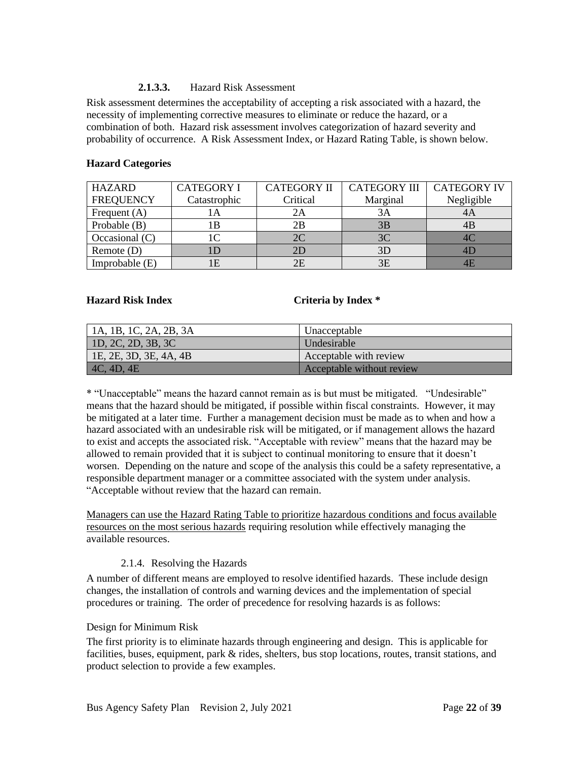#### **2.1.3.3.** Hazard Risk Assessment

<span id="page-21-1"></span>Risk assessment determines the acceptability of accepting a risk associated with a hazard, the necessity of implementing corrective measures to eliminate or reduce the hazard, or a combination of both. Hazard risk assessment involves categorization of hazard severity and probability of occurrence. A Risk Assessment Index, or Hazard Rating Table, is shown below.

| <b>HAZARD</b>    | <b>CATEGORY I</b> | <b>CATEGORY II</b> | <b>CATEGORY III</b> | <b>CATEGORY IV</b> |
|------------------|-------------------|--------------------|---------------------|--------------------|
| <b>FREQUENCY</b> | Catastrophic      | Critical           | Marginal            | Negligible         |
| Frequent $(A)$   |                   |                    | 3A                  |                    |
| Probable (B)     | l B               | 2Β                 | 3B                  | 4B                 |
| Occasional $(C)$ |                   | 2C                 | 3C                  |                    |
| Remote $(D)$     |                   |                    | 3D                  |                    |
| Improbable (E)   |                   | 2Ε                 | 3E                  |                    |

#### **Hazard Categories**

#### **Hazard Risk Index Criteria by Index \***

| 1A, 1B, 1C, 2A, 2B, 3A | Unacceptable              |
|------------------------|---------------------------|
| 1D, 2C, 2D, 3B, 3C     | Undesirable               |
| 1E, 2E, 3D, 3E, 4A, 4B | Acceptable with review    |
| $\vert$ 4C, 4D, 4E     | Acceptable without review |

\* "Unacceptable" means the hazard cannot remain as is but must be mitigated. "Undesirable" means that the hazard should be mitigated, if possible within fiscal constraints. However, it may be mitigated at a later time. Further a management decision must be made as to when and how a hazard associated with an undesirable risk will be mitigated, or if management allows the hazard to exist and accepts the associated risk. "Acceptable with review" means that the hazard may be allowed to remain provided that it is subject to continual monitoring to ensure that it doesn't worsen. Depending on the nature and scope of the analysis this could be a safety representative, a responsible department manager or a committee associated with the system under analysis. "Acceptable without review that the hazard can remain.

Managers can use the Hazard Rating Table to prioritize hazardous conditions and focus available resources on the most serious hazards requiring resolution while effectively managing the available resources.

#### 2.1.4. Resolving the Hazards

<span id="page-21-0"></span>A number of different means are employed to resolve identified hazards. These include design changes, the installation of controls and warning devices and the implementation of special procedures or training. The order of precedence for resolving hazards is as follows:

#### Design for Minimum Risk

The first priority is to eliminate hazards through engineering and design. This is applicable for facilities, buses, equipment, park & rides, shelters, bus stop locations, routes, transit stations, and product selection to provide a few examples.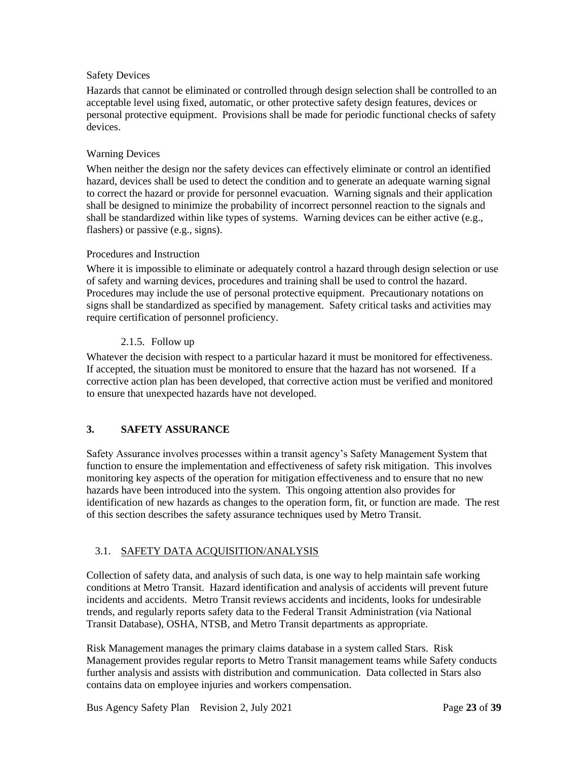#### <span id="page-22-3"></span>Safety Devices

Hazards that cannot be eliminated or controlled through design selection shall be controlled to an acceptable level using fixed, automatic, or other protective safety design features, devices or personal protective equipment. Provisions shall be made for periodic functional checks of safety devices.

#### Warning Devices

When neither the design nor the safety devices can effectively eliminate or control an identified hazard, devices shall be used to detect the condition and to generate an adequate warning signal to correct the hazard or provide for personnel evacuation. Warning signals and their application shall be designed to minimize the probability of incorrect personnel reaction to the signals and shall be standardized within like types of systems. Warning devices can be either active (e.g., flashers) or passive (e.g., signs).

#### Procedures and Instruction

Where it is impossible to eliminate or adequately control a hazard through design selection or use of safety and warning devices, procedures and training shall be used to control the hazard. Procedures may include the use of personal protective equipment. Precautionary notations on signs shall be standardized as specified by management. Safety critical tasks and activities may require certification of personnel proficiency.

#### 2.1.5. Follow up

<span id="page-22-0"></span>Whatever the decision with respect to a particular hazard it must be monitored for effectiveness. If accepted, the situation must be monitored to ensure that the hazard has not worsened. If a corrective action plan has been developed, that corrective action must be verified and monitored to ensure that unexpected hazards have not developed.

### <span id="page-22-1"></span>**3. SAFETY ASSURANCE**

Safety Assurance involves processes within a transit agency's Safety Management System that function to ensure the implementation and effectiveness of safety risk mitigation. This involves monitoring key aspects of the operation for mitigation effectiveness and to ensure that no new hazards have been introduced into the system. This ongoing attention also provides for identification of new hazards as changes to the operation form, fit, or function are made. The rest of this section describes the safety assurance techniques used by Metro Transit.

#### <span id="page-22-2"></span>3.1. SAFETY DATA ACQUISITION/ANALYSIS

Collection of safety data, and analysis of such data, is one way to help maintain safe working conditions at Metro Transit. Hazard identification and analysis of accidents will prevent future incidents and accidents. Metro Transit reviews accidents and incidents, looks for undesirable trends, and regularly reports safety data to the Federal Transit Administration (via National Transit Database), OSHA, NTSB, and Metro Transit departments as appropriate.

Risk Management manages the primary claims database in a system called Stars. Risk Management provides regular reports to Metro Transit management teams while Safety conducts further analysis and assists with distribution and communication. Data collected in Stars also contains data on employee injuries and workers compensation.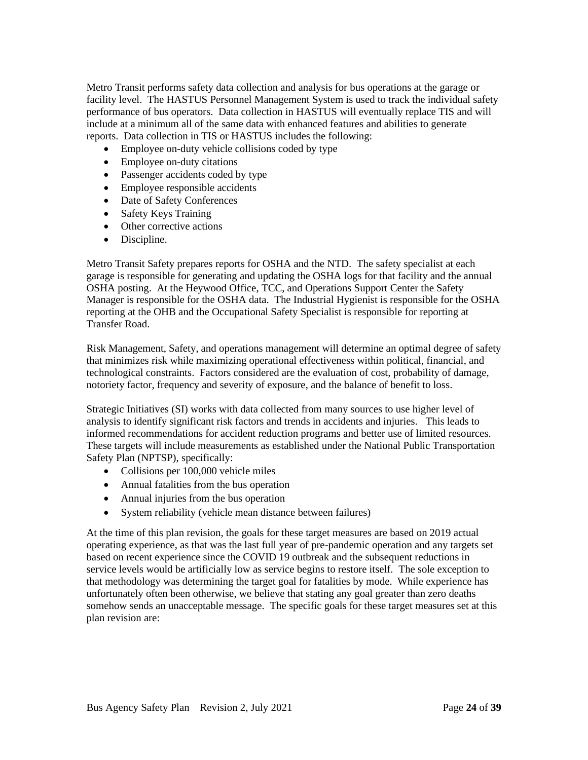Metro Transit performs safety data collection and analysis for bus operations at the garage or facility level. The HASTUS Personnel Management System is used to track the individual safety performance of bus operators. Data collection in HASTUS will eventually replace TIS and will include at a minimum all of the same data with enhanced features and abilities to generate reports. Data collection in TIS or HASTUS includes the following:

- Employee on-duty vehicle collisions coded by type
- Employee on-duty citations
- Passenger accidents coded by type
- Employee responsible accidents
- Date of Safety Conferences
- Safety Keys Training
- Other corrective actions
- Discipline.

Metro Transit Safety prepares reports for OSHA and the NTD. The safety specialist at each garage is responsible for generating and updating the OSHA logs for that facility and the annual OSHA posting. At the Heywood Office, TCC, and Operations Support Center the Safety Manager is responsible for the OSHA data. The Industrial Hygienist is responsible for the OSHA reporting at the OHB and the Occupational Safety Specialist is responsible for reporting at Transfer Road.

Risk Management, Safety, and operations management will determine an optimal degree of safety that minimizes risk while maximizing operational effectiveness within political, financial, and technological constraints. Factors considered are the evaluation of cost, probability of damage, notoriety factor, frequency and severity of exposure, and the balance of benefit to loss.

Strategic Initiatives (SI) works with data collected from many sources to use higher level of analysis to identify significant risk factors and trends in accidents and injuries. This leads to informed recommendations for accident reduction programs and better use of limited resources. These targets will include measurements as established under the National Public Transportation Safety Plan (NPTSP), specifically:

- Collisions per 100,000 vehicle miles
- Annual fatalities from the bus operation
- Annual injuries from the bus operation
- System reliability (vehicle mean distance between failures)

At the time of this plan revision, the goals for these target measures are based on 2019 actual operating experience, as that was the last full year of pre-pandemic operation and any targets set based on recent experience since the COVID 19 outbreak and the subsequent reductions in service levels would be artificially low as service begins to restore itself. The sole exception to that methodology was determining the target goal for fatalities by mode. While experience has unfortunately often been otherwise, we believe that stating any goal greater than zero deaths somehow sends an unacceptable message. The specific goals for these target measures set at this plan revision are: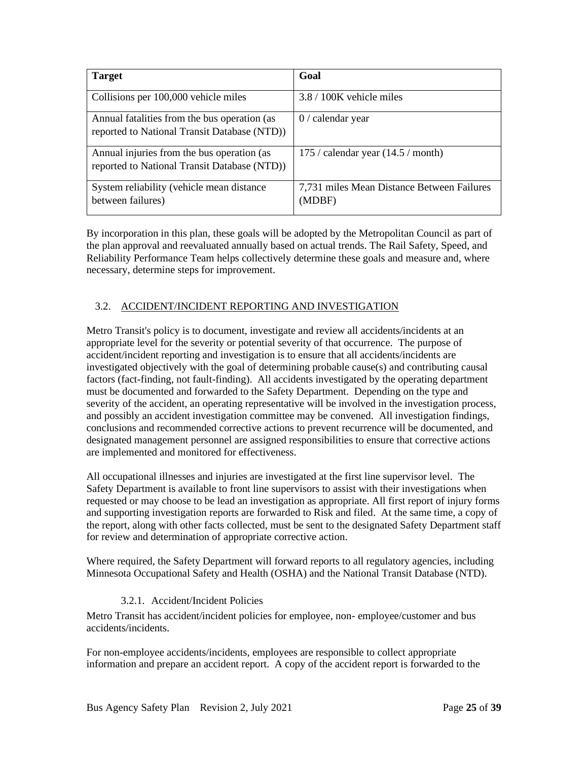<span id="page-24-1"></span>

| <b>Target</b>                                                                                | Goal                                                 |
|----------------------------------------------------------------------------------------------|------------------------------------------------------|
| Collisions per 100,000 vehicle miles                                                         | 3.8 / 100K vehicle miles                             |
| Annual fatalities from the bus operation (as<br>reported to National Transit Database (NTD)) | calendar year<br>0/                                  |
| Annual injuries from the bus operation (as<br>reported to National Transit Database (NTD))   | 175 / calendar year $(14.5 / \text{month})$          |
| System reliability (vehicle mean distance<br>between failures)                               | 7,731 miles Mean Distance Between Failures<br>(MDBF) |

By incorporation in this plan, these goals will be adopted by the Metropolitan Council as part of the plan approval and reevaluated annually based on actual trends. The Rail Safety, Speed, and Reliability Performance Team helps collectively determine these goals and measure and, where necessary, determine steps for improvement.

#### <span id="page-24-0"></span>3.2. ACCIDENT/INCIDENT REPORTING AND INVESTIGATION

Metro Transit's policy is to document, investigate and review all accidents/incidents at an appropriate level for the severity or potential severity of that occurrence. The purpose of accident/incident reporting and investigation is to ensure that all accidents/incidents are investigated objectively with the goal of determining probable cause(s) and contributing causal factors (fact-finding, not fault-finding). All accidents investigated by the operating department must be documented and forwarded to the Safety Department. Depending on the type and severity of the accident, an operating representative will be involved in the investigation process, and possibly an accident investigation committee may be convened. All investigation findings, conclusions and recommended corrective actions to prevent recurrence will be documented, and designated management personnel are assigned responsibilities to ensure that corrective actions are implemented and monitored for effectiveness.

All occupational illnesses and injuries are investigated at the first line supervisor level. The Safety Department is available to front line supervisors to assist with their investigations when requested or may choose to be lead an investigation as appropriate. All first report of injury forms and supporting investigation reports are forwarded to Risk and filed. At the same time, a copy of the report, along with other facts collected, must be sent to the designated Safety Department staff for review and determination of appropriate corrective action.

Where required, the Safety Department will forward reports to all regulatory agencies, including Minnesota Occupational Safety and Health (OSHA) and the National Transit Database (NTD).

#### 3.2.1. Accident/Incident Policies

Metro Transit has accident/incident policies for employee, non- employee/customer and bus accidents/incidents.

For non-employee accidents/incidents, employees are responsible to collect appropriate information and prepare an accident report. A copy of the accident report is forwarded to the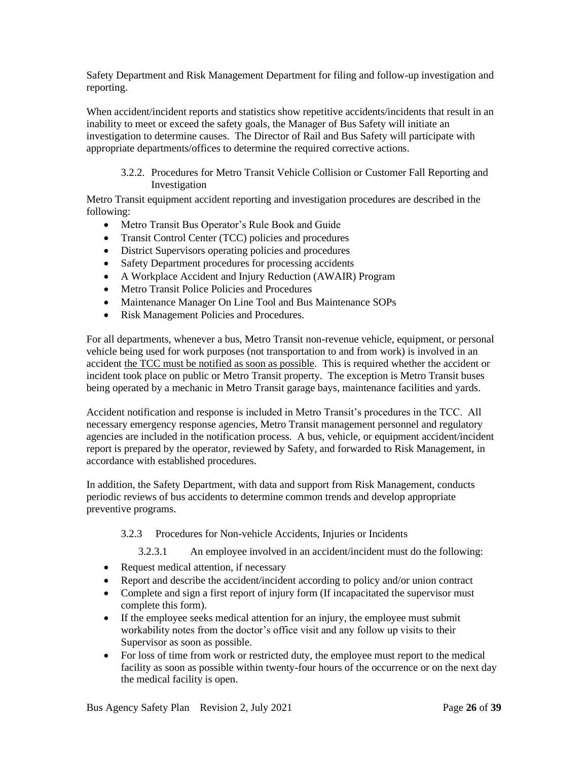Safety Department and Risk Management Department for filing and follow-up investigation and reporting.

When accident/incident reports and statistics show repetitive accidents/incidents that result in an inability to meet or exceed the safety goals, the Manager of Bus Safety will initiate an investigation to determine causes. The Director of Rail and Bus Safety will participate with appropriate departments/offices to determine the required corrective actions.

3.2.2. Procedures for Metro Transit Vehicle Collision or Customer Fall Reporting and Investigation

Metro Transit equipment accident reporting and investigation procedures are described in the following:

- Metro Transit Bus Operator's Rule Book and Guide
- Transit Control Center (TCC) policies and procedures
- District Supervisors operating policies and procedures
- Safety Department procedures for processing accidents
- A Workplace Accident and Injury Reduction (AWAIR) Program
- Metro Transit Police Policies and Procedures
- Maintenance Manager On Line Tool and Bus Maintenance SOPs
- Risk Management Policies and Procedures.

For all departments, whenever a bus, Metro Transit non-revenue vehicle, equipment, or personal vehicle being used for work purposes (not transportation to and from work) is involved in an accident the TCC must be notified as soon as possible. This is required whether the accident or incident took place on public or Metro Transit property. The exception is Metro Transit buses being operated by a mechanic in Metro Transit garage bays, maintenance facilities and yards.

Accident notification and response is included in Metro Transit's procedures in the TCC. All necessary emergency response agencies, Metro Transit management personnel and regulatory agencies are included in the notification process. A bus, vehicle, or equipment accident/incident report is prepared by the operator, reviewed by Safety, and forwarded to Risk Management, in accordance with established procedures.

In addition, the Safety Department, with data and support from Risk Management, conducts periodic reviews of bus accidents to determine common trends and develop appropriate preventive programs.

3.2.3 Procedures for Non-vehicle Accidents, Injuries or Incidents

3.2.3.1 An employee involved in an accident/incident must do the following:

- Request medical attention, if necessary
- Report and describe the accident/incident according to policy and/or union contract
- Complete and sign a first report of injury form (If incapacitated the supervisor must complete this form).
- If the employee seeks medical attention for an injury, the employee must submit workability notes from the doctor's office visit and any follow up visits to their Supervisor as soon as possible.
- For loss of time from work or restricted duty, the employee must report to the medical facility as soon as possible within twenty-four hours of the occurrence or on the next day the medical facility is open.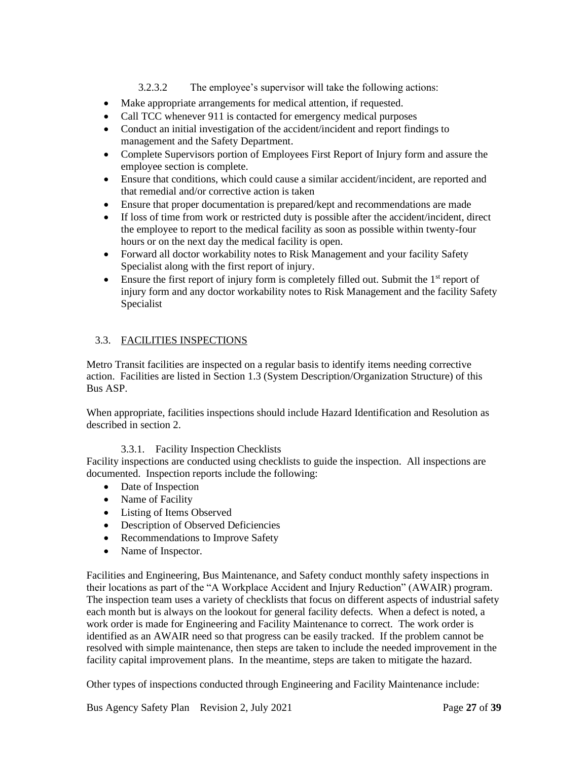3.2.3.2 The employee's supervisor will take the following actions:

- <span id="page-26-1"></span>• Make appropriate arrangements for medical attention, if requested.
- Call TCC whenever 911 is contacted for emergency medical purposes
- Conduct an initial investigation of the accident/incident and report findings to management and the Safety Department.
- Complete Supervisors portion of Employees First Report of Injury form and assure the employee section is complete.
- Ensure that conditions, which could cause a similar accident/incident, are reported and that remedial and/or corrective action is taken
- Ensure that proper documentation is prepared/kept and recommendations are made
- If loss of time from work or restricted duty is possible after the accident/incident, direct the employee to report to the medical facility as soon as possible within twenty-four hours or on the next day the medical facility is open.
- Forward all doctor workability notes to Risk Management and your facility Safety Specialist along with the first report of injury.
- Ensure the first report of injury form is completely filled out. Submit the  $1<sup>st</sup>$  report of injury form and any doctor workability notes to Risk Management and the facility Safety Specialist

#### <span id="page-26-0"></span>3.3. FACILITIES INSPECTIONS

Metro Transit facilities are inspected on a regular basis to identify items needing corrective action. Facilities are listed in Section 1.3 (System Description/Organization Structure) of this Bus ASP.

When appropriate, facilities inspections should include Hazard Identification and Resolution as described in section 2.

#### 3.3.1. Facility Inspection Checklists

Facility inspections are conducted using checklists to guide the inspection. All inspections are documented. Inspection reports include the following:

- Date of Inspection
- Name of Facility
- Listing of Items Observed
- Description of Observed Deficiencies
- Recommendations to Improve Safety
- Name of Inspector.

Facilities and Engineering, Bus Maintenance, and Safety conduct monthly safety inspections in their locations as part of the "A Workplace Accident and Injury Reduction" (AWAIR) program. The inspection team uses a variety of checklists that focus on different aspects of industrial safety each month but is always on the lookout for general facility defects. When a defect is noted, a work order is made for Engineering and Facility Maintenance to correct. The work order is identified as an AWAIR need so that progress can be easily tracked. If the problem cannot be resolved with simple maintenance, then steps are taken to include the needed improvement in the facility capital improvement plans. In the meantime, steps are taken to mitigate the hazard.

Other types of inspections conducted through Engineering and Facility Maintenance include: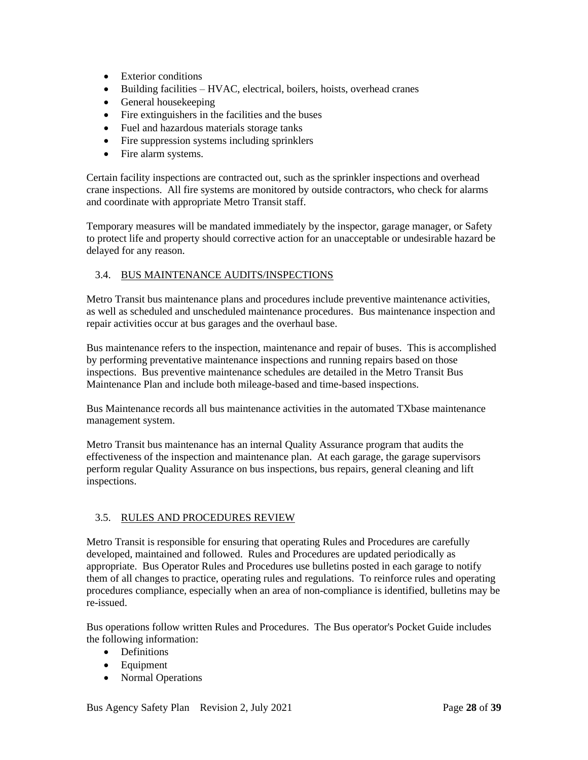- <span id="page-27-2"></span>• Exterior conditions
- Building facilities HVAC, electrical, boilers, hoists, overhead cranes
- General housekeeping
- Fire extinguishers in the facilities and the buses
- Fuel and hazardous materials storage tanks
- Fire suppression systems including sprinklers
- Fire alarm systems.

Certain facility inspections are contracted out, such as the sprinkler inspections and overhead crane inspections. All fire systems are monitored by outside contractors, who check for alarms and coordinate with appropriate Metro Transit staff.

Temporary measures will be mandated immediately by the inspector, garage manager, or Safety to protect life and property should corrective action for an unacceptable or undesirable hazard be delayed for any reason.

#### <span id="page-27-0"></span>3.4. BUS MAINTENANCE AUDITS/INSPECTIONS

Metro Transit bus maintenance plans and procedures include preventive maintenance activities, as well as scheduled and unscheduled maintenance procedures. Bus maintenance inspection and repair activities occur at bus garages and the overhaul base.

Bus maintenance refers to the inspection, maintenance and repair of buses. This is accomplished by performing preventative maintenance inspections and running repairs based on those inspections. Bus preventive maintenance schedules are detailed in the Metro Transit Bus Maintenance Plan and include both mileage-based and time-based inspections.

Bus Maintenance records all bus maintenance activities in the automated TXbase maintenance management system.

Metro Transit bus maintenance has an internal Quality Assurance program that audits the effectiveness of the inspection and maintenance plan. At each garage, the garage supervisors perform regular Quality Assurance on bus inspections, bus repairs, general cleaning and lift inspections.

#### <span id="page-27-1"></span>3.5. RULES AND PROCEDURES REVIEW

Metro Transit is responsible for ensuring that operating Rules and Procedures are carefully developed, maintained and followed. Rules and Procedures are updated periodically as appropriate. Bus Operator Rules and Procedures use bulletins posted in each garage to notify them of all changes to practice, operating rules and regulations. To reinforce rules and operating procedures compliance, especially when an area of non-compliance is identified, bulletins may be re-issued.

Bus operations follow written Rules and Procedures. The Bus operator's Pocket Guide includes the following information:

- Definitions
- Equipment
- Normal Operations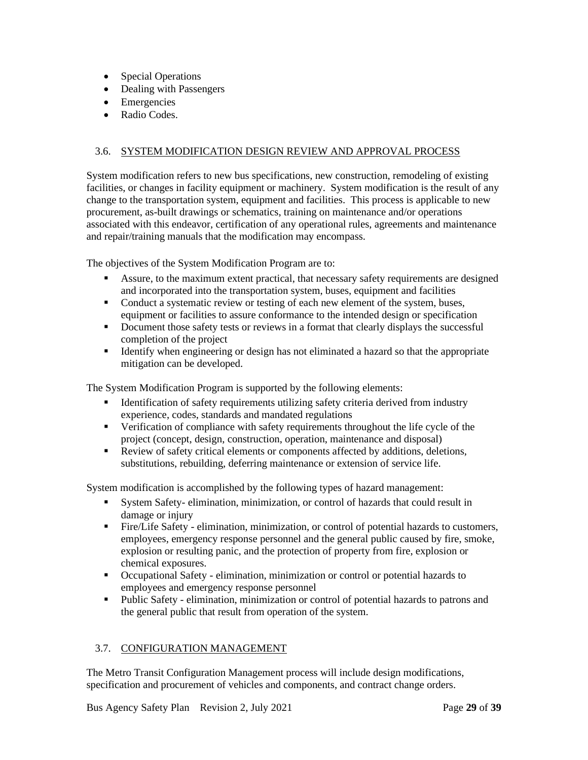- <span id="page-28-2"></span>• Special Operations
- Dealing with Passengers
- Emergencies
- Radio Codes.

#### <span id="page-28-0"></span>3.6. SYSTEM MODIFICATION DESIGN REVIEW AND APPROVAL PROCESS

System modification refers to new bus specifications, new construction, remodeling of existing facilities, or changes in facility equipment or machinery. System modification is the result of any change to the transportation system, equipment and facilities. This process is applicable to new procurement, as-built drawings or schematics, training on maintenance and/or operations associated with this endeavor, certification of any operational rules, agreements and maintenance and repair/training manuals that the modification may encompass.

The objectives of the System Modification Program are to:

- **EXECUTE:** Assure, to the maximum extent practical, that necessary safety requirements are designed and incorporated into the transportation system, buses, equipment and facilities
- Conduct a systematic review or testing of each new element of the system, buses, equipment or facilities to assure conformance to the intended design or specification
- **•** Document those safety tests or reviews in a format that clearly displays the successful completion of the project
- **EXECUTE:** Identify when engineering or design has not eliminated a hazard so that the appropriate mitigation can be developed.

The System Modification Program is supported by the following elements:

- **EXECUTE:** Identification of safety requirements utilizing safety criteria derived from industry experience, codes, standards and mandated regulations
- Verification of compliance with safety requirements throughout the life cycle of the project (concept, design, construction, operation, maintenance and disposal)
- Review of safety critical elements or components affected by additions, deletions, substitutions, rebuilding, deferring maintenance or extension of service life.

System modification is accomplished by the following types of hazard management:

- System Safety- elimination, minimization, or control of hazards that could result in damage or injury
- Fire/Life Safety elimination, minimization, or control of potential hazards to customers, employees, emergency response personnel and the general public caused by fire, smoke, explosion or resulting panic, and the protection of property from fire, explosion or chemical exposures.
- Occupational Safety elimination, minimization or control or potential hazards to employees and emergency response personnel
- Public Safety elimination, minimization or control of potential hazards to patrons and the general public that result from operation of the system.

#### <span id="page-28-1"></span>3.7. CONFIGURATION MANAGEMENT

The Metro Transit Configuration Management process will include design modifications, specification and procurement of vehicles and components, and contract change orders.

Bus Agency Safety Plan **Revision 2, July 2021** Page 29 of 39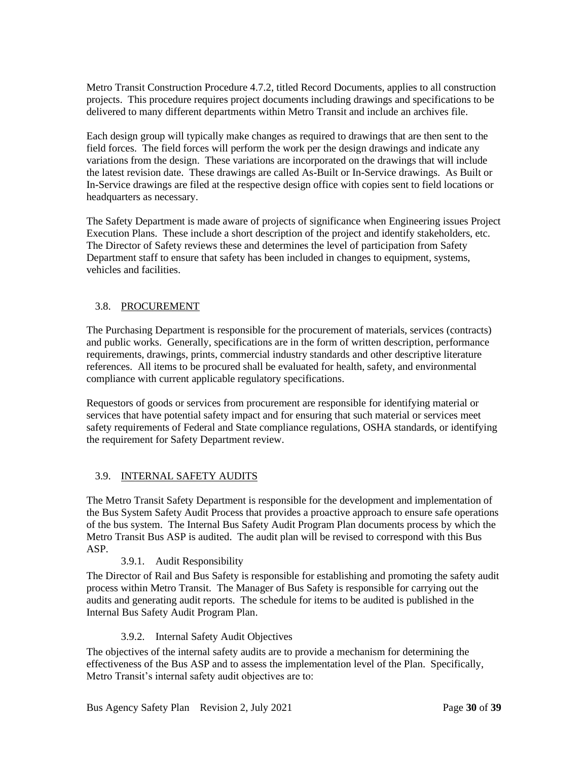<span id="page-29-2"></span>Metro Transit Construction Procedure 4.7.2, titled Record Documents, applies to all construction projects. This procedure requires project documents including drawings and specifications to be delivered to many different departments within Metro Transit and include an archives file.

Each design group will typically make changes as required to drawings that are then sent to the field forces. The field forces will perform the work per the design drawings and indicate any variations from the design. These variations are incorporated on the drawings that will include the latest revision date. These drawings are called As-Built or In-Service drawings. As Built or In-Service drawings are filed at the respective design office with copies sent to field locations or headquarters as necessary.

The Safety Department is made aware of projects of significance when Engineering issues Project Execution Plans. These include a short description of the project and identify stakeholders, etc. The Director of Safety reviews these and determines the level of participation from Safety Department staff to ensure that safety has been included in changes to equipment, systems, vehicles and facilities.

#### <span id="page-29-0"></span>3.8. PROCUREMENT

The Purchasing Department is responsible for the procurement of materials, services (contracts) and public works. Generally, specifications are in the form of written description, performance requirements, drawings, prints, commercial industry standards and other descriptive literature references. All items to be procured shall be evaluated for health, safety, and environmental compliance with current applicable regulatory specifications.

Requestors of goods or services from procurement are responsible for identifying material or services that have potential safety impact and for ensuring that such material or services meet safety requirements of Federal and State compliance regulations, OSHA standards, or identifying the requirement for Safety Department review.

#### <span id="page-29-1"></span>3.9. INTERNAL SAFETY AUDITS

The Metro Transit Safety Department is responsible for the development and implementation of the Bus System Safety Audit Process that provides a proactive approach to ensure safe operations of the bus system. The Internal Bus Safety Audit Program Plan documents process by which the Metro Transit Bus ASP is audited. The audit plan will be revised to correspond with this Bus ASP.

#### 3.9.1. Audit Responsibility

The Director of Rail and Bus Safety is responsible for establishing and promoting the safety audit process within Metro Transit. The Manager of Bus Safety is responsible for carrying out the audits and generating audit reports. The schedule for items to be audited is published in the Internal Bus Safety Audit Program Plan.

#### 3.9.2. Internal Safety Audit Objectives

The objectives of the internal safety audits are to provide a mechanism for determining the effectiveness of the Bus ASP and to assess the implementation level of the Plan. Specifically, Metro Transit's internal safety audit objectives are to: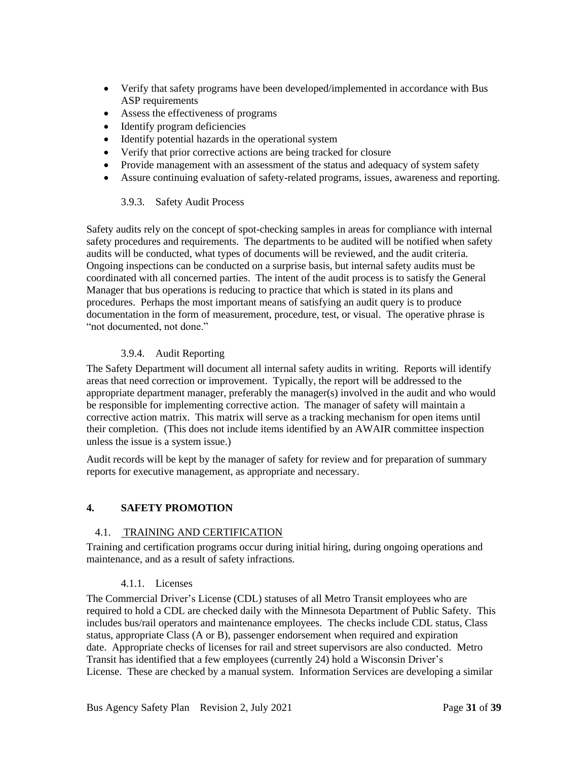- <span id="page-30-2"></span>• Verify that safety programs have been developed/implemented in accordance with Bus ASP requirements
- Assess the effectiveness of programs
- Identify program deficiencies
- Identify potential hazards in the operational system
- Verify that prior corrective actions are being tracked for closure
- Provide management with an assessment of the status and adequacy of system safety
- Assure continuing evaluation of safety-related programs, issues, awareness and reporting.

#### 3.9.3. Safety Audit Process

Safety audits rely on the concept of spot-checking samples in areas for compliance with internal safety procedures and requirements. The departments to be audited will be notified when safety audits will be conducted, what types of documents will be reviewed, and the audit criteria. Ongoing inspections can be conducted on a surprise basis, but internal safety audits must be coordinated with all concerned parties. The intent of the audit process is to satisfy the General Manager that bus operations is reducing to practice that which is stated in its plans and procedures. Perhaps the most important means of satisfying an audit query is to produce documentation in the form of measurement, procedure, test, or visual. The operative phrase is "not documented, not done."

#### 3.9.4. Audit Reporting

The Safety Department will document all internal safety audits in writing. Reports will identify areas that need correction or improvement. Typically, the report will be addressed to the appropriate department manager, preferably the manager(s) involved in the audit and who would be responsible for implementing corrective action. The manager of safety will maintain a corrective action matrix. This matrix will serve as a tracking mechanism for open items until their completion. (This does not include items identified by an AWAIR committee inspection unless the issue is a system issue.)

Audit records will be kept by the manager of safety for review and for preparation of summary reports for executive management, as appropriate and necessary.

#### <span id="page-30-0"></span>**4. SAFETY PROMOTION**

#### <span id="page-30-1"></span>4.1. TRAINING AND CERTIFICATION

Training and certification programs occur during initial hiring, during ongoing operations and maintenance, and as a result of safety infractions.

#### 4.1.1. Licenses

The Commercial Driver's License (CDL) statuses of all Metro Transit employees who are required to hold a CDL are checked daily with the Minnesota Department of Public Safety. This includes bus/rail operators and maintenance employees. The checks include CDL status, Class status, appropriate Class (A or B), passenger endorsement when required and expiration date. Appropriate checks of licenses for rail and street supervisors are also conducted. Metro Transit has identified that a few employees (currently 24) hold a Wisconsin Driver's License. These are checked by a manual system. Information Services are developing a similar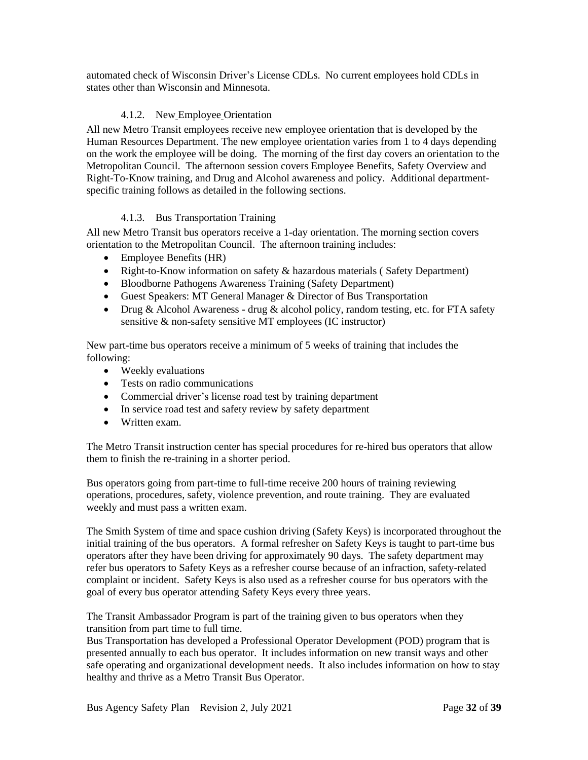automated check of Wisconsin Driver's License CDLs. No current employees hold CDLs in states other than Wisconsin and Minnesota.

#### 4.1.2. New Employee Orientation

All new Metro Transit employees receive new employee orientation that is developed by the Human Resources Department. The new employee orientation varies from 1 to 4 days depending on the work the employee will be doing. The morning of the first day covers an orientation to the Metropolitan Council. The afternoon session covers Employee Benefits, Safety Overview and Right-To-Know training, and Drug and Alcohol awareness and policy. Additional departmentspecific training follows as detailed in the following sections.

#### 4.1.3. Bus Transportation Training

All new Metro Transit bus operators receive a 1-day orientation. The morning section covers orientation to the Metropolitan Council. The afternoon training includes:

- Employee Benefits (HR)
- Right-to-Know information on safety & hazardous materials (Safety Department)
- Bloodborne Pathogens Awareness Training (Safety Department)
- Guest Speakers: MT General Manager & Director of Bus Transportation
- Drug & Alcohol Awareness drug & alcohol policy, random testing, etc. for FTA safety sensitive & non-safety sensitive MT employees (IC instructor)

New part-time bus operators receive a minimum of 5 weeks of training that includes the following:

- Weekly evaluations
- Tests on radio communications
- Commercial driver's license road test by training department
- In service road test and safety review by safety department
- Written exam.

The Metro Transit instruction center has special procedures for re-hired bus operators that allow them to finish the re-training in a shorter period.

Bus operators going from part-time to full-time receive 200 hours of training reviewing operations, procedures, safety, violence prevention, and route training. They are evaluated weekly and must pass a written exam.

The Smith System of time and space cushion driving (Safety Keys) is incorporated throughout the initial training of the bus operators. A formal refresher on Safety Keys is taught to part-time bus operators after they have been driving for approximately 90 days. The safety department may refer bus operators to Safety Keys as a refresher course because of an infraction, safety-related complaint or incident. Safety Keys is also used as a refresher course for bus operators with the goal of every bus operator attending Safety Keys every three years.

The Transit Ambassador Program is part of the training given to bus operators when they transition from part time to full time.

Bus Transportation has developed a Professional Operator Development (POD) program that is presented annually to each bus operator. It includes information on new transit ways and other safe operating and organizational development needs. It also includes information on how to stay healthy and thrive as a Metro Transit Bus Operator.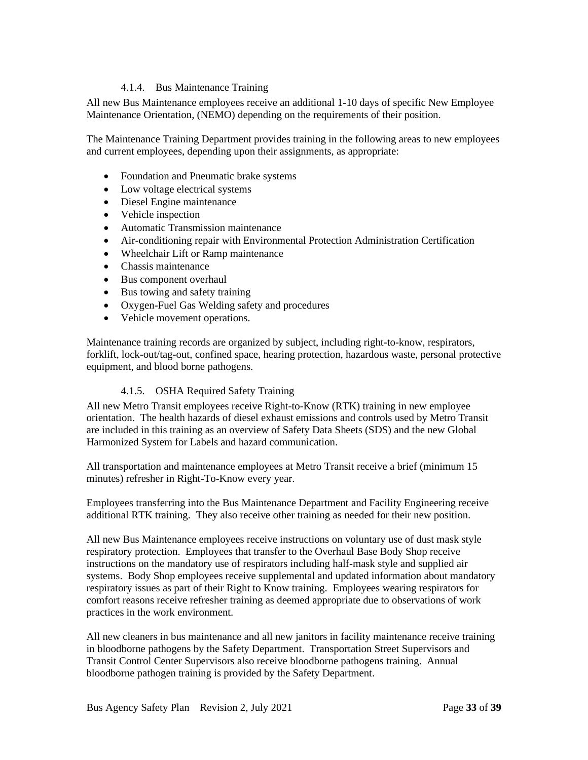#### 4.1.4. Bus Maintenance Training

All new Bus Maintenance employees receive an additional 1-10 days of specific New Employee Maintenance Orientation, (NEMO) depending on the requirements of their position.

The Maintenance Training Department provides training in the following areas to new employees and current employees, depending upon their assignments, as appropriate:

- Foundation and Pneumatic brake systems
- Low voltage electrical systems
- Diesel Engine maintenance
- Vehicle inspection
- Automatic Transmission maintenance
- Air-conditioning repair with Environmental Protection Administration Certification
- Wheelchair Lift or Ramp maintenance
- Chassis maintenance
- Bus component overhaul
- Bus towing and safety training
- Oxygen-Fuel Gas Welding safety and procedures
- Vehicle movement operations.

Maintenance training records are organized by subject, including right-to-know, respirators, forklift, lock-out/tag-out, confined space, hearing protection, hazardous waste, personal protective equipment, and blood borne pathogens.

#### 4.1.5. OSHA Required Safety Training

All new Metro Transit employees receive Right-to-Know (RTK) training in new employee orientation. The health hazards of diesel exhaust emissions and controls used by Metro Transit are included in this training as an overview of Safety Data Sheets (SDS) and the new Global Harmonized System for Labels and hazard communication.

All transportation and maintenance employees at Metro Transit receive a brief (minimum 15 minutes) refresher in Right-To-Know every year.

Employees transferring into the Bus Maintenance Department and Facility Engineering receive additional RTK training. They also receive other training as needed for their new position.

All new Bus Maintenance employees receive instructions on voluntary use of dust mask style respiratory protection. Employees that transfer to the Overhaul Base Body Shop receive instructions on the mandatory use of respirators including half-mask style and supplied air systems. Body Shop employees receive supplemental and updated information about mandatory respiratory issues as part of their Right to Know training. Employees wearing respirators for comfort reasons receive refresher training as deemed appropriate due to observations of work practices in the work environment.

All new cleaners in bus maintenance and all new janitors in facility maintenance receive training in bloodborne pathogens by the Safety Department. Transportation Street Supervisors and Transit Control Center Supervisors also receive bloodborne pathogens training. Annual bloodborne pathogen training is provided by the Safety Department.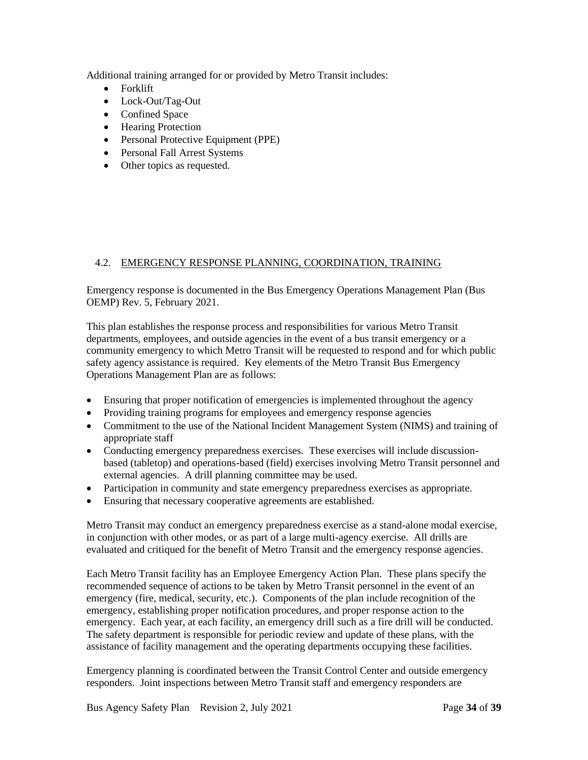<span id="page-33-1"></span>Additional training arranged for or provided by Metro Transit includes:

- Forklift
- Lock-Out/Tag-Out
- Confined Space
- Hearing Protection
- Personal Protective Equipment (PPE)
- Personal Fall Arrest Systems
- Other topics as requested.

#### <span id="page-33-0"></span>4.2. EMERGENCY RESPONSE PLANNING, COORDINATION, TRAINING

Emergency response is documented in the Bus Emergency Operations Management Plan (Bus OEMP) Rev. 5, February 2021.

This plan establishes the response process and responsibilities for various Metro Transit departments, employees, and outside agencies in the event of a bus transit emergency or a community emergency to which Metro Transit will be requested to respond and for which public safety agency assistance is required. Key elements of the Metro Transit Bus Emergency Operations Management Plan are as follows:

- Ensuring that proper notification of emergencies is implemented throughout the agency
- Providing training programs for employees and emergency response agencies
- Commitment to the use of the National Incident Management System (NIMS) and training of appropriate staff
- Conducting emergency preparedness exercises. These exercises will include discussionbased (tabletop) and operations-based (field) exercises involving Metro Transit personnel and external agencies. A drill planning committee may be used.
- Participation in community and state emergency preparedness exercises as appropriate.
- Ensuring that necessary cooperative agreements are established.

Metro Transit may conduct an emergency preparedness exercise as a stand-alone modal exercise, in conjunction with other modes, or as part of a large multi-agency exercise. All drills are evaluated and critiqued for the benefit of Metro Transit and the emergency response agencies.

Each Metro Transit facility has an Employee Emergency Action Plan. These plans specify the recommended sequence of actions to be taken by Metro Transit personnel in the event of an emergency (fire, medical, security, etc.). Components of the plan include recognition of the emergency, establishing proper notification procedures, and proper response action to the emergency. Each year, at each facility, an emergency drill such as a fire drill will be conducted. The safety department is responsible for periodic review and update of these plans, with the assistance of facility management and the operating departments occupying these facilities.

Emergency planning is coordinated between the Transit Control Center and outside emergency responders. Joint inspections between Metro Transit staff and emergency responders are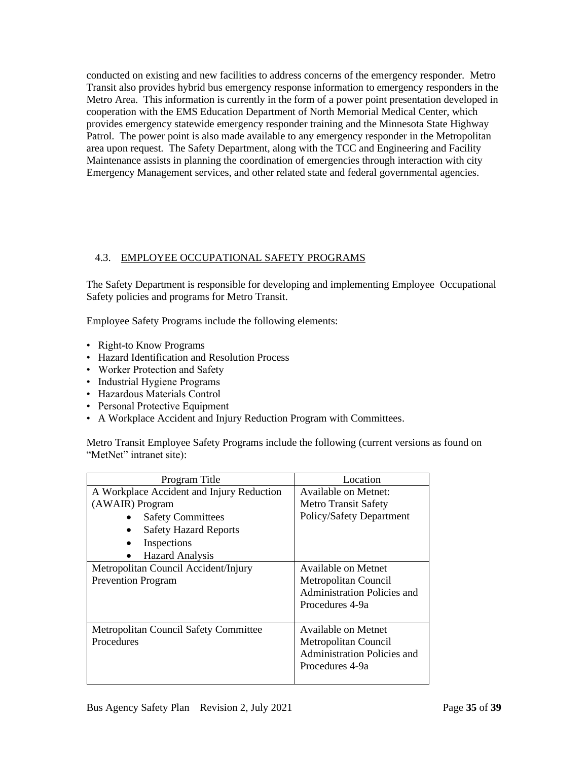<span id="page-34-1"></span>conducted on existing and new facilities to address concerns of the emergency responder. Metro Transit also provides hybrid bus emergency response information to emergency responders in the Metro Area. This information is currently in the form of a power point presentation developed in cooperation with the EMS Education Department of North Memorial Medical Center, which provides emergency statewide emergency responder training and the Minnesota State Highway Patrol. The power point is also made available to any emergency responder in the Metropolitan area upon request. The Safety Department, along with the TCC and Engineering and Facility Maintenance assists in planning the coordination of emergencies through interaction with city Emergency Management services, and other related state and federal governmental agencies.

#### <span id="page-34-0"></span>4.3. EMPLOYEE OCCUPATIONAL SAFETY PROGRAMS

The Safety Department is responsible for developing and implementing Employee Occupational Safety policies and programs for Metro Transit.

Employee Safety Programs include the following elements:

- Right-to Know Programs
- Hazard Identification and Resolution Process
- Worker Protection and Safety
- Industrial Hygiene Programs
- Hazardous Materials Control
- Personal Protective Equipment
- A Workplace Accident and Injury Reduction Program with Committees.

Metro Transit Employee Safety Programs include the following (current versions as found on "MetNet" intranet site):

| Program Title                             | Location                           |
|-------------------------------------------|------------------------------------|
| A Workplace Accident and Injury Reduction | Available on Metnet:               |
| (AWAIR) Program                           | <b>Metro Transit Safety</b>        |
| <b>Safety Committees</b>                  | Policy/Safety Department           |
| <b>Safety Hazard Reports</b>              |                                    |
| Inspections                               |                                    |
| <b>Hazard Analysis</b>                    |                                    |
| Metropolitan Council Accident/Injury      | Available on Metnet                |
| <b>Prevention Program</b>                 | Metropolitan Council               |
|                                           | <b>Administration Policies and</b> |
|                                           | Procedures 4-9a                    |
|                                           |                                    |
| Metropolitan Council Safety Committee     | Available on Metnet                |
| Procedures                                | Metropolitan Council               |
|                                           | Administration Policies and        |
|                                           | Procedures 4-9a                    |
|                                           |                                    |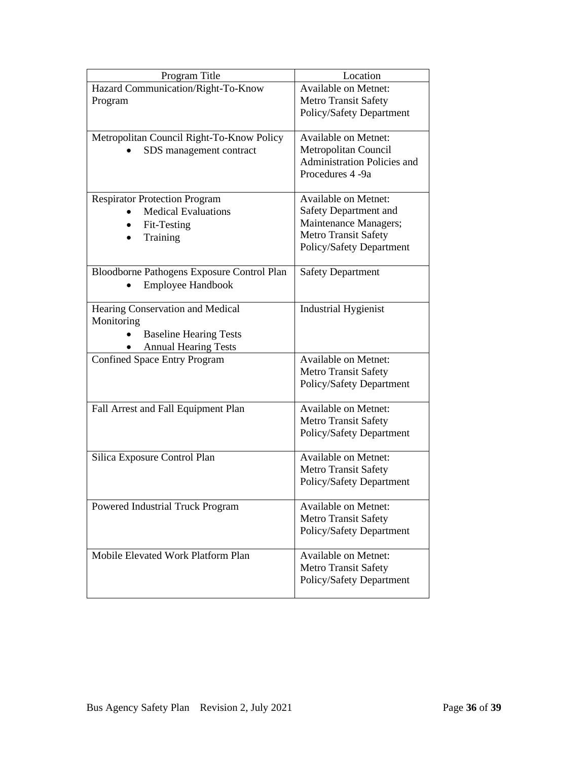| Program Title                              | Location                           |
|--------------------------------------------|------------------------------------|
| Hazard Communication/Right-To-Know         | <b>Available on Metnet:</b>        |
| Program                                    | <b>Metro Transit Safety</b>        |
|                                            | Policy/Safety Department           |
| Metropolitan Council Right-To-Know Policy  | <b>Available on Metnet:</b>        |
| SDS management contract                    | Metropolitan Council               |
|                                            | <b>Administration Policies and</b> |
|                                            | Procedures 4-9a                    |
| <b>Respirator Protection Program</b>       | <b>Available on Metnet:</b>        |
| <b>Medical Evaluations</b>                 | Safety Department and              |
| Fit-Testing                                | Maintenance Managers;              |
| Training                                   | <b>Metro Transit Safety</b>        |
|                                            | Policy/Safety Department           |
| Bloodborne Pathogens Exposure Control Plan | <b>Safety Department</b>           |
| Employee Handbook                          |                                    |
| Hearing Conservation and Medical           | <b>Industrial Hygienist</b>        |
| Monitoring                                 |                                    |
| <b>Baseline Hearing Tests</b>              |                                    |
| <b>Annual Hearing Tests</b>                |                                    |
| <b>Confined Space Entry Program</b>        | <b>Available on Metnet:</b>        |
|                                            | <b>Metro Transit Safety</b>        |
|                                            | Policy/Safety Department           |
| Fall Arrest and Fall Equipment Plan        | <b>Available on Metnet:</b>        |
|                                            | <b>Metro Transit Safety</b>        |
|                                            | Policy/Safety Department           |
| Silica Exposure Control Plan               | <b>Available on Metnet:</b>        |
|                                            | <b>Metro Transit Safety</b>        |
|                                            | Policy/Safety Department           |
| Powered Industrial Truck Program           | <b>Available on Metnet:</b>        |
|                                            | <b>Metro Transit Safety</b>        |
|                                            | Policy/Safety Department           |
| Mobile Elevated Work Platform Plan         | <b>Available on Metnet:</b>        |
|                                            | <b>Metro Transit Safety</b>        |
|                                            | Policy/Safety Department           |
|                                            |                                    |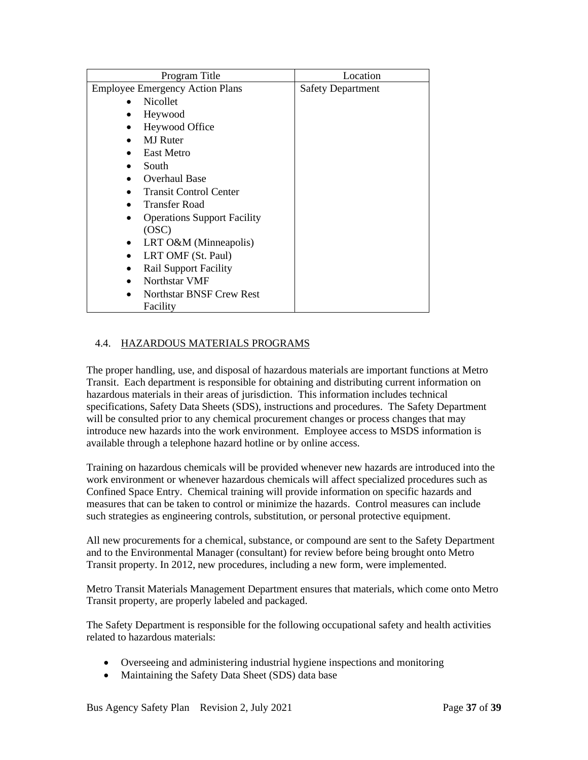<span id="page-36-1"></span>

| Program Title                          | Location                 |
|----------------------------------------|--------------------------|
| <b>Employee Emergency Action Plans</b> | <b>Safety Department</b> |
| <b>Nicollet</b>                        |                          |
| Heywood                                |                          |
| Heywood Office<br>$\bullet$            |                          |
| <b>MJ</b> Ruter                        |                          |
| <b>East Metro</b>                      |                          |
| South                                  |                          |
| <b>Overhaul Base</b>                   |                          |
| <b>Transit Control Center</b>          |                          |
| <b>Transfer Road</b>                   |                          |
| <b>Operations Support Facility</b>     |                          |
| (OSC)                                  |                          |
| LRT O&M (Minneapolis)                  |                          |
| LRT OMF (St. Paul)                     |                          |
| <b>Rail Support Facility</b>           |                          |
| Northstar VMF                          |                          |
| <b>Northstar BNSF Crew Rest</b>        |                          |
| Facility                               |                          |

#### <span id="page-36-0"></span>4.4. HAZARDOUS MATERIALS PROGRAMS

The proper handling, use, and disposal of hazardous materials are important functions at Metro Transit. Each department is responsible for obtaining and distributing current information on hazardous materials in their areas of jurisdiction. This information includes technical specifications, Safety Data Sheets (SDS), instructions and procedures. The Safety Department will be consulted prior to any chemical procurement changes or process changes that may introduce new hazards into the work environment. Employee access to MSDS information is available through a telephone hazard hotline or by online access.

Training on hazardous chemicals will be provided whenever new hazards are introduced into the work environment or whenever hazardous chemicals will affect specialized procedures such as Confined Space Entry. Chemical training will provide information on specific hazards and measures that can be taken to control or minimize the hazards. Control measures can include such strategies as engineering controls, substitution, or personal protective equipment.

All new procurements for a chemical, substance, or compound are sent to the Safety Department and to the Environmental Manager (consultant) for review before being brought onto Metro Transit property. In 2012, new procedures, including a new form, were implemented.

Metro Transit Materials Management Department ensures that materials, which come onto Metro Transit property, are properly labeled and packaged.

The Safety Department is responsible for the following occupational safety and health activities related to hazardous materials:

- Overseeing and administering industrial hygiene inspections and monitoring
- Maintaining the Safety Data Sheet (SDS) data base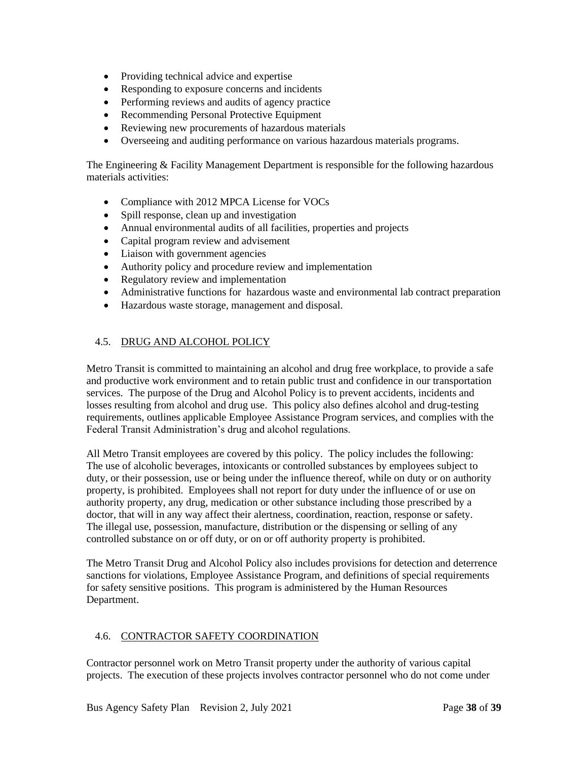- <span id="page-37-2"></span>• Providing technical advice and expertise
- Responding to exposure concerns and incidents
- Performing reviews and audits of agency practice
- Recommending Personal Protective Equipment
- Reviewing new procurements of hazardous materials
- Overseeing and auditing performance on various hazardous materials programs.

The Engineering & Facility Management Department is responsible for the following hazardous materials activities:

- Compliance with 2012 MPCA License for VOCs
- Spill response, clean up and investigation
- Annual environmental audits of all facilities, properties and projects
- Capital program review and advisement
- Liaison with government agencies
- Authority policy and procedure review and implementation
- Regulatory review and implementation
- Administrative functions for hazardous waste and environmental lab contract preparation
- Hazardous waste storage, management and disposal.

#### <span id="page-37-0"></span>4.5. DRUG AND ALCOHOL POLICY

Metro Transit is committed to maintaining an alcohol and drug free workplace, to provide a safe and productive work environment and to retain public trust and confidence in our transportation services. The purpose of the Drug and Alcohol Policy is to prevent accidents, incidents and losses resulting from alcohol and drug use. This policy also defines alcohol and drug-testing requirements, outlines applicable Employee Assistance Program services, and complies with the Federal Transit Administration's drug and alcohol regulations.

All Metro Transit employees are covered by this policy. The policy includes the following: The use of alcoholic beverages, intoxicants or controlled substances by employees subject to duty, or their possession, use or being under the influence thereof, while on duty or on authority property, is prohibited. Employees shall not report for duty under the influence of or use on authority property, any drug, medication or other substance including those prescribed by a doctor, that will in any way affect their alertness, coordination, reaction, response or safety. The illegal use, possession, manufacture, distribution or the dispensing or selling of any controlled substance on or off duty, or on or off authority property is prohibited.

The Metro Transit Drug and Alcohol Policy also includes provisions for detection and deterrence sanctions for violations, Employee Assistance Program, and definitions of special requirements for safety sensitive positions. This program is administered by the Human Resources Department.

#### <span id="page-37-1"></span>4.6. CONTRACTOR SAFETY COORDINATION

Contractor personnel work on Metro Transit property under the authority of various capital projects. The execution of these projects involves contractor personnel who do not come under